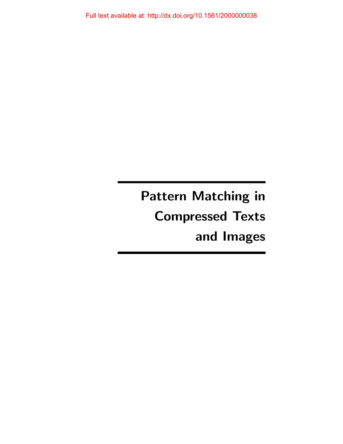Pattern Matching in Compressed Texts and Images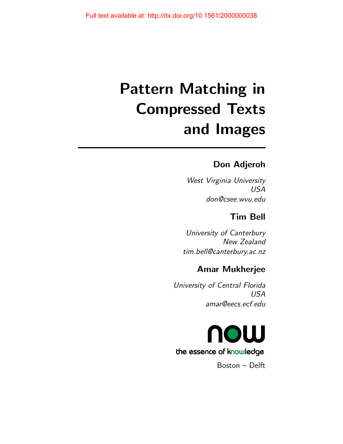# Pattern Matching in Compressed Texts and Images

# Don Adjeroh

West Virginia University USA don@csee.wvu.edu

# Tim Bell

University of Canterbury New Zealand tim.bell@canterbury.ac.nz

# Amar Mukherjee

University of Central Florida USA amar@eecs.ecf.edu



Boston – Delft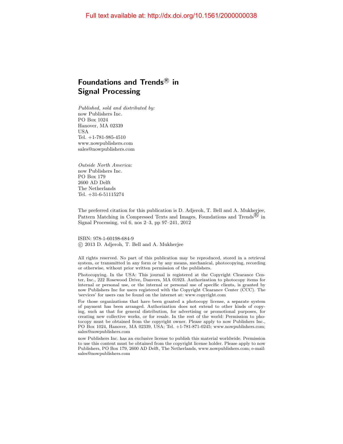### Foundations and Trends ${}^{\text{\textregistered}}$  in Signal Processing

Published, sold and distributed by: now Publishers Inc. PO Box 1024 Hanover, MA 02339 USA Tel. +1-781-985-4510 www.nowpublishers.com sales@nowpublishers.com

Outside North America: now Publishers Inc. PO Box 179 2600 AD Delft The Netherlands Tel. +31-6-51115274

The preferred citation for this publication is D. Adjeroh, T. Bell and A. Mukherjee, Pattern Matching in Compressed Texts and Images, Foundations and Trends<sup> $\mathbb{B}$ </sup> in Signal Processing, vol 6, nos 2–3, pp 97–241, 2012

ISBN: 978-1-60198-684-9 c 2013 D. Adjeroh, T. Bell and A. Mukherjee

All rights reserved. No part of this publication may be reproduced, stored in a retrieval system, or transmitted in any form or by any means, mechanical, photocopying, recording or otherwise, without prior written permission of the publishers.

Photocopying. In the USA: This journal is registered at the Copyright Clearance Center, Inc., 222 Rosewood Drive, Danvers, MA 01923. Authorization to photocopy items for internal or personal use, or the internal or personal use of specific clients, is granted by now Publishers Inc for users registered with the Copyright Clearance Center (CCC). The 'services' for users can be found on the internet at: www.copyright.com

For those organizations that have been granted a photocopy license, a separate system of payment has been arranged. Authorization does not extend to other kinds of copying, such as that for general distribution, for advertising or promotional purposes, for creating new collective works, or for resale. In the rest of the world: Permission to photocopy must be obtained from the copyright owner. Please apply to now Publishers Inc., PO Box 1024, Hanover, MA 02339, USA; Tel. +1-781-871-0245; www.nowpublishers.com; sales@nowpublishers.com

now Publishers Inc. has an exclusive license to publish this material worldwide. Permission to use this content must be obtained from the copyright license holder. Please apply to now Publishers, PO Box 179, 2600 AD Delft, The Netherlands, www.nowpublishers.com; e-mail: sales@nowpublishers.com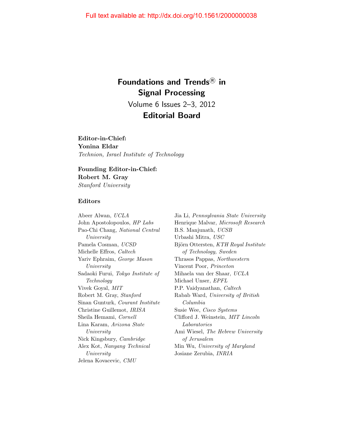# Foundations and Trends<sup>®</sup> in Signal Processing Volume 6 Issues 2–3, 2012

### Editorial Board

### Editor-in-Chief: Yonina Eldar Technion, Israel Institute of Technology

### Founding Editor-in-Chief: Robert M. Gray Stanford University

#### Editors

Abeer Alwan, UCLA John Apostolopoulos, HP Labs Pao-Chi Chang, National Central University Pamela Cosman, UCSD Michelle Effros, Caltech Yariv Ephraim, George Mason University Sadaoki Furui, Tokyo Institute of Technology Vivek Goyal, MIT Robert M. Gray, Stanford Sinan Gunturk, Courant Institute Christine Guillemot, IRISA Sheila Hemami, Cornell Lina Karam, Arizona State University Nick Kingsbury, Cambridge Alex Kot, Nanyang Technical University Jelena Kovacevic, CMU

Jia Li, Pennsylvania State University Henrique Malvar, Microsoft Research B.S. Manjunath, UCSB Urbashi Mitra, USC Björn Ottersten, KTH Royal Institute of Technology, Sweden Thrasos Pappas, Northwestern Vincent Poor, Princeton Mihaela van der Shaar, UCLA Michael Unser, EPFL P.P. Vaidyanathan, Caltech Rabab Ward, University of British Columbia Susie Wee, Cisco Systems Clifford J. Weinstein, MIT Lincoln Laboratories Ami Wiesel, The Hebrew University of Jerusalem Min Wu, University of Maryland Josiane Zerubia, INRIA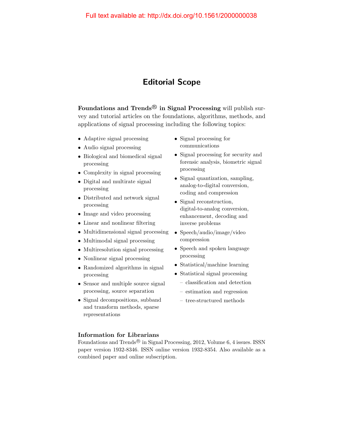### Editorial Scope

Foundations and Trends $^\circledR$  in Signal Processing will publish survey and tutorial articles on the foundations, algorithms, methods, and applications of signal processing including the following topics:

- Adaptive signal processing
- Audio signal processing
- Biological and biomedical signal processing
- Complexity in signal processing
- Digital and multirate signal processing
- Distributed and network signal processing
- Image and video processing
- Linear and nonlinear filtering
- Multidimensional signal processing
- Multimodal signal processing
- Multiresolution signal processing
- Nonlinear signal processing
- Randomized algorithms in signal processing
- Sensor and multiple source signal processing, source separation
- Signal decompositions, subband and transform methods, sparse representations
- Signal processing for communications
- Signal processing for security and forensic analysis, biometric signal processing
- Signal quantization, sampling, analog-to-digital conversion, coding and compression
- Signal reconstruction, digital-to-analog conversion, enhancement, decoding and inverse problems
- Speech/audio/image/video compression
- Speech and spoken language processing
- Statistical/machine learning
- Statistical signal processing
	- classification and detection
	- estimation and regression
	- tree-structured methods

#### Information for Librarians

Foundations and Trends<sup>®</sup> in Signal Processing, 2012, Volume 6, 4 issues. ISSN paper version 1932-8346. ISSN online version 1932-8354. Also available as a combined paper and online subscription.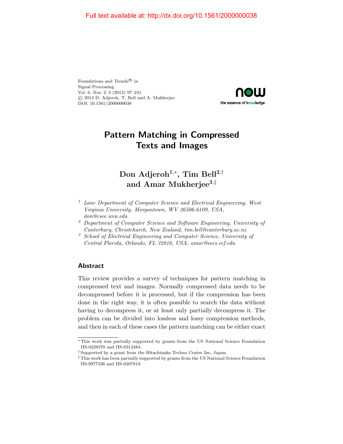Foundations and  $\operatorname{Trends}^{\textcircledR}$  in Signal Processing Vol. 6, Nos. 2–3 (2012) 97–241 c 2013 D. Adjeroh, T. Bell and A. Mukherjee DOI: 10.1561/2000000038



# Pattern Matching in Compressed Texts and Images

## Don Adjeroh $^{1,\ast}, \text{ Tim Bell}^{2,\dagger}$ and Amar Mukherjee<sup>3, $\ddagger$ </sup>

- $1$  Lane Department of Computer Science and Electrical Engineering, West Virginia University, Morgantown, WV 26506-6109, USA, don@csee.wvu.edu
- <sup>2</sup> Department of Computer Science and Software Engineering, University of Canterbury, Christchurch, New Zealand, tim.bell@canterbury.ac.nz
- $3$  School of Electrical Engineering and Computer Science, University of Central Florida, Orlando, FL 32816, USA, amar@eecs.ecf.edu

#### Abstract

This review provides a survey of techniques for pattern matching in compressed text and images. Normally compressed data needs to be decompressed before it is processed, but if the compression has been done in the right way, it is often possible to search the data without having to decompress it, or at least only partially decompress it. The problem can be divided into lossless and lossy compression methods, and then in each of these cases the pattern matching can be either exact

<sup>∗</sup> This work was partially supported by grants from the US National Science Foundation IIS-0228370 and IIS-0312484.

<sup>†</sup> Supported by a grant from the Hitachinaka Techno Center Inc, Japan.

<sup>‡</sup> This work has been partially supported by grants from the US National Science Foundation IIS-9977336 and IIS-0207819.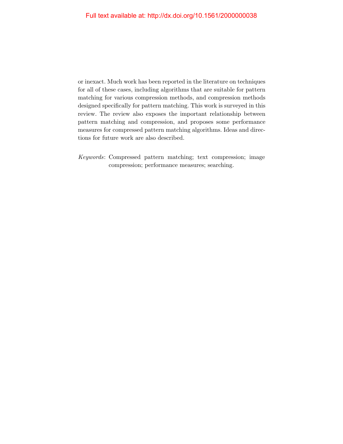or inexact. Much work has been reported in the literature on techniques for all of these cases, including algorithms that are suitable for pattern matching for various compression methods, and compression methods designed specifically for pattern matching. This work is surveyed in this review. The review also exposes the important relationship between pattern matching and compression, and proposes some performance measures for compressed pattern matching algorithms. Ideas and directions for future work are also described.

Keywords: Compressed pattern matching; text compression; image compression; performance measures; searching.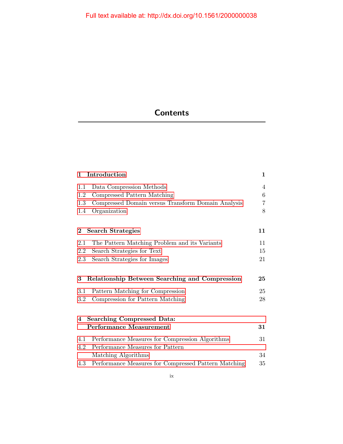# **Contents**

| Introduction                                                 | $\mathbf{1}$   |
|--------------------------------------------------------------|----------------|
| Data Compression Methods                                     | $\overline{4}$ |
| Compressed Pattern Matching                                  | 6              |
| Compressed Domain versus Transform Domain Analysis           | $\overline{7}$ |
| Organization                                                 | 8              |
| <b>Search Strategies</b>                                     | 11             |
| The Pattern Matching Problem and its Variants                | 11             |
| Search Strategies for Text                                   | 15             |
| Search Strategies for Images                                 | 21             |
| <b>Relationship Between Searching and Compression</b>        | $\bf 25$       |
| Pattern Matching for Compression                             | 25             |
| Compression for Pattern Matching                             | 28             |
| <b>Searching Compressed Data:</b><br>Performance Measurement | 31             |
|                                                              |                |
|                                                              |                |
| Performance Measures for Compression Algorithms              | 31             |
| Performance Measures for Pattern<br>Matching Algorithms      | 34             |
|                                                              |                |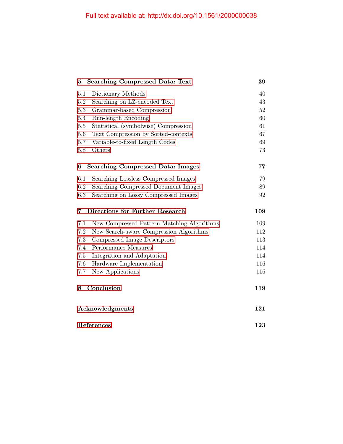| 5       | <b>Searching Compressed Data: Text</b>     | 39  |
|---------|--------------------------------------------|-----|
| 5.1     | Dictionary Methods                         | 40  |
| 5.2     | Searching on LZ-encoded Text               | 43  |
| 5.3     | Grammar-based Compression                  | 52  |
| 5.4     | Run-length Encoding                        | 60  |
| $5.5\,$ | Statistical (symbolwise) Compression       | 61  |
| 5.6     | Text Compression by Sorted-contexts        | 67  |
| 5.7     | Variable-to-fixed Length Codes             | 69  |
| 5.8     | Others                                     | 73  |
| 6       | <b>Searching Compressed Data: Images</b>   | 77  |
| 6.1     | Searching Lossless Compressed Images       | 79  |
| 6.2     | Searching Compressed Document Images       | 89  |
| 6.3     | Searching on Lossy Compressed Images       | 92  |
|         |                                            |     |
| 7       | Directions for Further Research            | 109 |
| 7.1     | New Compressed Pattern Matching Algorithms | 109 |
| 7.2     | New Search-aware Compression Algorithms    | 112 |
| 7.3     | Compressed Image Descriptors               | 113 |
| 7.4     | Performance Measures                       | 114 |
| 7.5     | Integration and Adaptation                 | 114 |
| 7.6     | Hardware Implementation                    | 116 |
| 7.7     | New Applications                           | 116 |
| 8       | Conclusion                                 | 119 |
|         | Acknowledgments                            | 121 |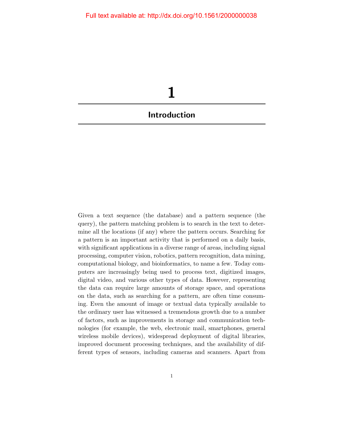<span id="page-9-0"></span>

Given a text sequence (the database) and a pattern sequence (the query), the pattern matching problem is to search in the text to determine all the locations (if any) where the pattern occurs. Searching for a pattern is an important activity that is performed on a daily basis, with significant applications in a diverse range of areas, including signal processing, computer vision, robotics, pattern recognition, data mining, computational biology, and bioinformatics, to name a few. Today computers are increasingly being used to process text, digitized images, digital video, and various other types of data. However, representing the data can require large amounts of storage space, and operations on the data, such as searching for a pattern, are often time consuming. Even the amount of image or textual data typically available to the ordinary user has witnessed a tremendous growth due to a number of factors, such as improvements in storage and communication technologies (for example, the web, electronic mail, smartphones, general wireless mobile devices), widespread deployment of digital libraries, improved document processing techniques, and the availability of different types of sensors, including cameras and scanners. Apart from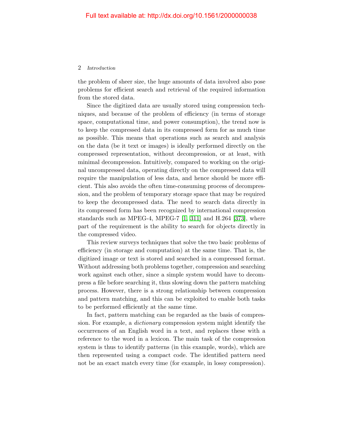#### 2 Introduction

the problem of sheer size, the huge amounts of data involved also pose problems for efficient search and retrieval of the required information from the stored data.

Since the digitized data are usually stored using compression techniques, and because of the problem of efficiency (in terms of storage space, computational time, and power consumption), the trend now is to keep the compressed data in its compressed form for as much time as possible. This means that operations such as search and analysis on the data (be it text or images) is ideally performed directly on the compressed representation, without decompression, or at least, with minimal decompression. Intuitively, compared to working on the original uncompressed data, operating directly on the compressed data will require the manipulation of less data, and hence should be more efficient. This also avoids the often time-consuming process of decompression, and the problem of temporary storage space that may be required to keep the decompressed data. The need to search data directly in its compressed form has been recognized by international compression standards such as MPEG-4, MPEG-7 [\[1,](#page-18-0) [311\]](#page-37-0) and H.264 [\[373\]](#page-41-0), where part of the requirement is the ability to search for objects directly in the compressed video.

This review surveys techniques that solve the two basic problems of efficiency (in storage and computation) at the same time. That is, the digitized image or text is stored and searched in a compressed format. Without addressing both problems together, compression and searching work against each other, since a simple system would have to decompress a file before searching it, thus slowing down the pattern matching process. However, there is a strong relationship between compression and pattern matching, and this can be exploited to enable both tasks to be performed efficiently at the same time.

In fact, pattern matching can be regarded as the basis of compression. For example, a dictionary compression system might identify the occurrences of an English word in a text, and replaces these with a reference to the word in a lexicon. The main task of the compression system is thus to identify patterns (in this example, words), which are then represented using a compact code. The identified pattern need not be an exact match every time (for example, in lossy compression).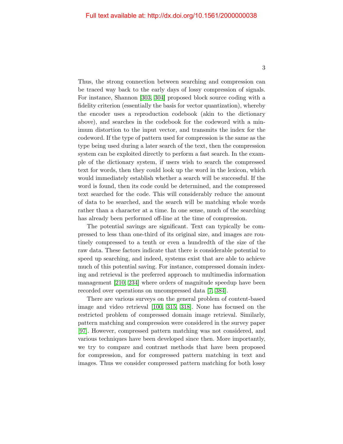Thus, the strong connection between searching and compression can be traced way back to the early days of lossy compression of signals. For instance, Shannon [\[303,](#page-37-1) [304\]](#page-37-2) proposed block source coding with a fidelity criterion (essentially the basis for vector quantization), whereby the encoder uses a reproduction codebook (akin to the dictionary above), and searches in the codebook for the codeword with a minimum distortion to the input vector, and transmits the index for the codeword. If the type of pattern used for compression is the same as the type being used during a later search of the text, then the compression system can be exploited directly to perform a fast search. In the example of the dictionary system, if users wish to search the compressed text for words, then they could look up the word in the lexicon, which would immediately establish whether a search will be successful. If the word is found, then its code could be determined, and the compressed text searched for the code. This will considerably reduce the amount of data to be searched, and the search will be matching whole words rather than a character at a time. In one sense, much of the searching has already been performed off-line at the time of compression.

The potential savings are significant. Text can typically be compressed to less than one-third of its original size, and images are routinely compressed to a tenth or even a hundredth of the size of the raw data. These factors indicate that there is considerable potential to speed up searching, and indeed, systems exist that are able to achieve much of this potential saving. For instance, compressed domain indexing and retrieval is the preferred approach to multimedia information management [\[210,](#page-31-0) [234\]](#page-32-0) where orders of magnitude speedup have been recorded over operations on uncompressed data [\[7,](#page-18-1) [384\]](#page-41-1).

There are various surveys on the general problem of content-based image and video retrieval [\[100,](#page-24-0) [315,](#page-37-3) [318\]](#page-37-4). None has focused on the restricted problem of compressed domain image retrieval. Similarly, pattern matching and compression were considered in the survey paper [\[97\]](#page-24-1). However, compressed pattern matching was not considered, and various techniques have been developed since then. More importantly, we try to compare and contrast methods that have been proposed for compression, and for compressed pattern matching in text and images. Thus we consider compressed pattern matching for both lossy

3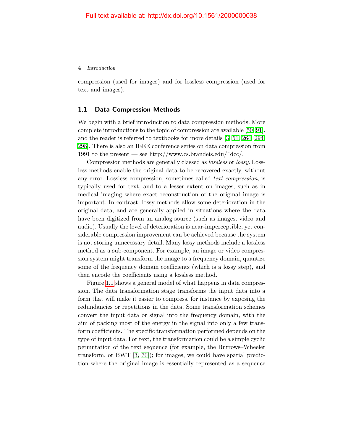#### 4 Introduction

compression (used for images) and for lossless compression (used for text and images).

#### <span id="page-12-0"></span>1.1 Data Compression Methods

We begin with a brief introduction to data compression methods. More complete introductions to the topic of compression are available [\[50,](#page-21-0) [91\]](#page-24-2), and the reader is referred to textbooks for more details [\[3,](#page-18-2) [51,](#page-21-1) [264,](#page-34-0) [294,](#page-36-0) [298\]](#page-36-1). There is also an IEEE conference series on data compression from 1991 to the present — see http://www.cs.brandeis.edu/~dcc/.

Compression methods are generally classed as lossless or lossy. Lossless methods enable the original data to be recovered exactly, without any error. Lossless compression, sometimes called text compression, is typically used for text, and to a lesser extent on images, such as in medical imaging where exact reconstruction of the original image is important. In contrast, lossy methods allow some deterioration in the original data, and are generally applied in situations where the data have been digitized from an analog source (such as images, video and audio). Usually the level of deterioration is near-imperceptible, yet considerable compression improvement can be achieved because the system is not storing unnecessary detail. Many lossy methods include a lossless method as a sub-component. For example, an image or video compression system might transform the image to a frequency domain, quantize some of the frequency domain coefficients (which is a lossy step), and then encode the coefficients using a lossless method.

Figure [1.1](#page-13-0) shows a general model of what happens in data compression. The data transformation stage transforms the input data into a form that will make it easier to compress, for instance by exposing the redundancies or repetitions in the data. Some transformation schemes convert the input data or signal into the frequency domain, with the aim of packing most of the energy in the signal into only a few transform coefficients. The specific transformation performed depends on the type of input data. For text, the transformation could be a simple cyclic permutation of the text sequence (for example, the Burrows–Wheeler transform, or BWT [\[3,](#page-18-2) [70\]](#page-22-0)); for images, we could have spatial prediction where the original image is essentially represented as a sequence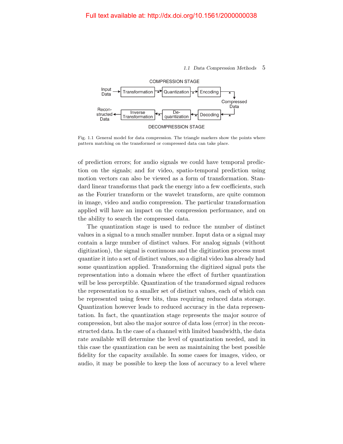1.1 Data Compression Methods 5



<span id="page-13-0"></span>Fig. 1.1 General model for data compression. The triangle markers show the points where pattern matching on the transformed or compressed data can take place.

of prediction errors; for audio signals we could have temporal prediction on the signals; and for video, spatio-temporal prediction using motion vectors can also be viewed as a form of transformation. Standard linear transforms that pack the energy into a few coefficients, such as the Fourier transform or the wavelet transform, are quite common in image, video and audio compression. The particular transformation applied will have an impact on the compression performance, and on the ability to search the compressed data.

The quantization stage is used to reduce the number of distinct values in a signal to a much smaller number. Input data or a signal may contain a large number of distinct values. For analog signals (without digitization), the signal is continuous and the digitization process must quantize it into a set of distinct values, so a digital video has already had some quantization applied. Transforming the digitized signal puts the representation into a domain where the effect of further quantization will be less perceptible. Quantization of the transformed signal reduces the representation to a smaller set of distinct values, each of which can be represented using fewer bits, thus requiring reduced data storage. Quantization however leads to reduced accuracy in the data representation. In fact, the quantization stage represents the major source of compression, but also the major source of data loss (error) in the reconstructed data. In the case of a channel with limited bandwidth, the data rate available will determine the level of quantization needed, and in this case the quantization can be seen as maintaining the best possible fidelity for the capacity available. In some cases for images, video, or audio, it may be possible to keep the loss of accuracy to a level where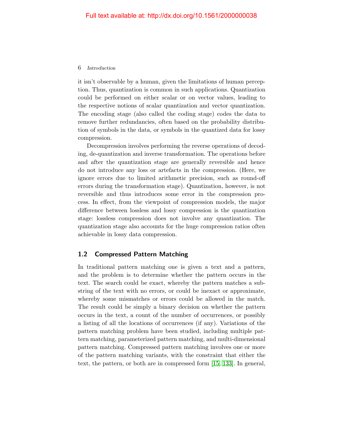#### 6 Introduction

it isn't observable by a human, given the limitations of human perception. Thus, quantization is common in such applications. Quantization could be performed on either scalar or on vector values, leading to the respective notions of scalar quantization and vector quantization. The encoding stage (also called the coding stage) codes the data to remove further redundancies, often based on the probability distribution of symbols in the data, or symbols in the quantized data for lossy compression.

Decompression involves performing the reverse operations of decoding, de-quantization and inverse transformation. The operations before and after the quantization stage are generally reversible and hence do not introduce any loss or artefacts in the compression. (Here, we ignore errors due to limited arithmetic precision, such as round-off errors during the transformation stage). Quantization, however, is not reversible and thus introduces some error in the compression process. In effect, from the viewpoint of compression models, the major difference between lossless and lossy compression is the quantization stage: lossless compression does not involve any quantization. The quantization stage also accounts for the huge compression ratios often achievable in lossy data compression.

#### <span id="page-14-0"></span>1.2 Compressed Pattern Matching

In traditional pattern matching one is given a text and a pattern, and the problem is to determine whether the pattern occurs in the text. The search could be exact, whereby the pattern matches a substring of the text with no errors, or could be inexact or approximate, whereby some mismatches or errors could be allowed in the match. The result could be simply a binary decision on whether the pattern occurs in the text, a count of the number of occurrences, or possibly a listing of all the locations of occurrences (if any). Variations of the pattern matching problem have been studied, including multiple pattern matching, parameterized pattern matching, and multi-dimensional pattern matching. Compressed pattern matching involves one or more of the pattern matching variants, with the constraint that either the text, the pattern, or both are in compressed form [\[15,](#page-19-0) [133\]](#page-26-0). In general,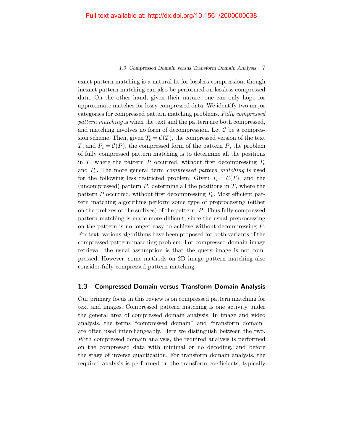#### 1.3 Compressed Domain versus Transform Domain Analysis 7

exact pattern matching is a natural fit for lossless compression, though inexact pattern matching can also be performed on lossless compressed data. On the other hand, given their nature, one can only hope for approximate matches for lossy compressed data. We identify two major categories for compressed pattern matching problems. Fully compressed pattern matching is when the text and the pattern are both compressed, and matching involves no form of decompression. Let  $\mathcal C$  be a compression scheme. Then, given  $T_c = \mathcal{C}(T)$ , the compressed version of the text T, and  $P_c = \mathcal{C}(P)$ , the compressed form of the pattern P, the problem of fully compressed pattern matching is to determine all the positions in T, where the pattern P occurred, without first decompressing  $T_c$ and  $P_c$ . The more general term *compressed pattern matching* is used for the following less restricted problem: Given  $T_c = \mathcal{C}(T)$ , and the (uncompressed) pattern  $P$ , determine all the positions in  $T$ , where the pattern  $P$  occurred, without first decompressing  $T_c$ . Most efficient pattern matching algorithms perform some type of preprocessing (either on the prefixes or the suffixes) of the pattern,  $P$ . Thus fully compressed pattern matching is made more difficult, since the usual preprocessing on the pattern is no longer easy to achieve without decompressing P. For text, various algorithms have been proposed for both variants of the compressed pattern matching problem. For compressed-domain image retrieval, the usual assumption is that the query image is not compressed. However, some methods on 2D image pattern matching also consider fully-compressed pattern matching.

#### <span id="page-15-0"></span>1.3 Compressed Domain versus Transform Domain Analysis

Our primary focus in this review is on compressed pattern matching for text and images. Compressed pattern matching is one activity under the general area of compressed domain analysis. In image and video analysis, the terms "compressed domain" and "transform domain" are often used interchangeably. Here we distinguish between the two. With compressed domain analysis, the required analysis is performed on the compressed data with minimal or no decoding, and before the stage of inverse quantization. For transform domain analysis, the required analysis is performed on the transform coefficients, typically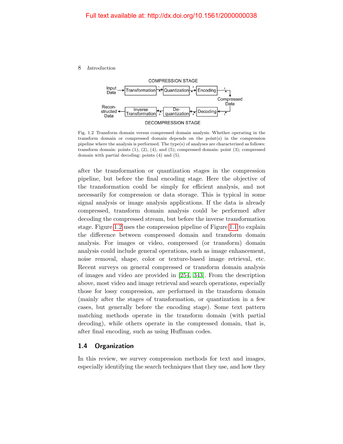#### 8 Introduction



<span id="page-16-1"></span>Fig. 1.2 Transform domain versus compressed domain analysis. Whether operating in the transform domain or compressed domain depends on the point(s) in the compression pipeline where the analysis is performed. The type(s) of analyses are characterized as follows: transform domain: points (1), (2), (4), and (5); compressed domain: point (3); compressed domain with partial decoding: points (4) and (5).

after the transformation or quantization stages in the compression pipeline, but before the final encoding stage. Here the objective of the transformation could be simply for efficient analysis, and not necessarily for compression or data storage. This is typical in some signal analysis or image analysis applications. If the data is already compressed, transform domain analysis could be performed after decoding the compressed stream, but before the inverse transformation stage. Figure [1.2](#page-16-1) uses the compression pipeline of Figure [1.1](#page-13-0) to explain the difference between compressed domain and transform domain analysis. For images or video, compressed (or transform) domain analysis could include general operations, such as image enhancement, noise removal, shape, color or texture-based image retrieval, etc. Recent surveys on general compressed or transform domain analysis of images and video are provided in [\[254,](#page-34-1) [343\]](#page-39-0). From the description above, most video and image retrieval and search operations, especially those for lossy compression, are performed in the transform domain (mainly after the stages of transformation, or quantization in a few cases, but generally before the encoding stage). Some text pattern matching methods operate in the transform domain (with partial decoding), while others operate in the compressed domain, that is, after final encoding, such as using Huffman codes.

#### <span id="page-16-0"></span>1.4 Organization

In this review, we survey compression methods for text and images, especially identifying the search techniques that they use, and how they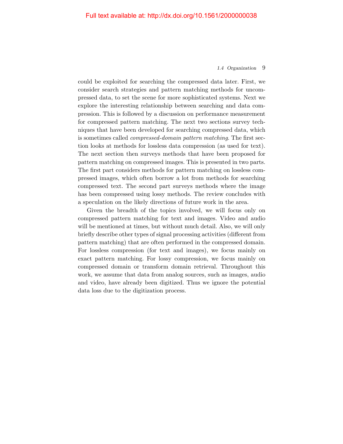#### 1.4 Organization 9

could be exploited for searching the compressed data later. First, we consider search strategies and pattern matching methods for uncompressed data, to set the scene for more sophisticated systems. Next we explore the interesting relationship between searching and data compression. This is followed by a discussion on performance measurement for compressed pattern matching. The next two sections survey techniques that have been developed for searching compressed data, which is sometimes called compressed-domain pattern matching. The first section looks at methods for lossless data compression (as used for text). The next section then surveys methods that have been proposed for pattern matching on compressed images. This is presented in two parts. The first part considers methods for pattern matching on lossless compressed images, which often borrow a lot from methods for searching compressed text. The second part surveys methods where the image has been compressed using lossy methods. The review concludes with a speculation on the likely directions of future work in the area.

Given the breadth of the topics involved, we will focus only on compressed pattern matching for text and images. Video and audio will be mentioned at times, but without much detail. Also, we will only briefly describe other types of signal processing activities (different from pattern matching) that are often performed in the compressed domain. For lossless compression (for text and images), we focus mainly on exact pattern matching. For lossy compression, we focus mainly on compressed domain or transform domain retrieval. Throughout this work, we assume that data from analog sources, such as images, audio and video, have already been digitized. Thus we ignore the potential data loss due to the digitization process.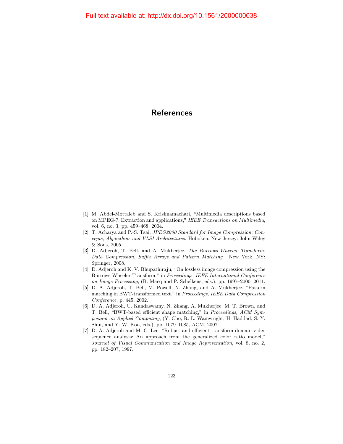- <span id="page-18-0"></span>[1] M. Abdel-Mottaleb and S. Krishnamachari, "Multimedia descriptions based on MPEG-7: Extraction and applications," IEEE Transactions on Multimedia, vol. 6, no. 3, pp. 459–468, 2004.
- [2] T. Acharya and P.-S. Tsai, JPEG2000 Standard for Image Compression: Concepts, Algorithms and VLSI Architectures. Hoboken, New Jersey: John Wiley & Sons, 2005.
- <span id="page-18-2"></span>[3] D. Adjeroh, T. Bell, and A. Mukherjee, *The Burrows-Wheeler Transform:* Data Compression, Suffix Arrays and Pattern Matching. New York, NY: Springer, 2008.
- [4] D. Adjeroh and K. V. Bhupathiraju, "On lossless image compression using the Burrows-Wheeler Transform," in Proceedings, IEEE International Conference on Image Processing, (B. Macq and P. Schelkens, eds.), pp. 1997–2000, 2011.
- [5] D. A. Adjeroh, T. Bell, M. Powell, N. Zhang, and A. Mukherjee, "Pattern matching in BWT-transformed text," in Proceedings, IEEE Data Compression Conference, p. 445, 2002.
- [6] D. A. Adjeroh, U. Kandaswamy, N. Zhang, A. Mukherjee, M. T. Brown, and T. Bell, "BWT-based efficient shape matching," in Proceedings, ACM Symposium on Applied Computing, (Y. Cho, R. L. Wainwright, H. Haddad, S. Y. Shin, and Y. W. Koo, eds.), pp. 1079–1085, ACM, 2007.
- <span id="page-18-1"></span>[7] D. A. Adjeroh and M. C. Lee, "Robust and efficient transform domain video sequence analysis: An approach from the generalized color ratio model," Journal of Visual Communication and Image Representation, vol. 8, no. 2, pp. 182–207, 1997.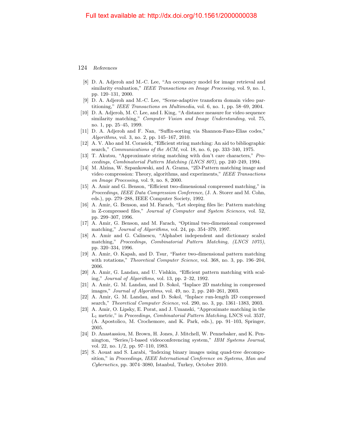- [8] D. A. Adjeroh and M.-C. Lee, "An occupancy model for image retrieval and similarity evaluation," IEEE Transactions on Image Processing, vol. 9, no. 1, pp. 120–131, 2000.
- [9] D. A. Adjeroh and M.-C. Lee, "Scene-adaptive transform domain video partitioning," IEEE Transactions on Multimedia, vol. 6, no. 1, pp. 58–69, 2004.
- [10] D. A. Adjeroh, M. C. Lee, and I. King, "A distance measure for video sequence similarity matching," Computer Vision and Image Understanding, vol. 75, no. 1, pp. 25–45, 1999.
- [11] D. A. Adjeroh and F. Nan, "Suffix-sorting via Shannon-Fano-Elias codes," Algorithms, vol. 3, no. 2, pp. 145–167, 2010.
- [12] A. V. Aho and M. Corasick, "Efficient string matching: An aid to bibliographic search," *Communications of the ACM*, vol. 18, no. 6, pp. 333–340, 1975.
- [13] T. Akutsu, "Approximate string matching with don't care characters," Proceedings, Combinatorial Pattern Matching (LNCS 807), pp. 240–249, 1994.
- [14] M. Alzina, W. Szpankowski, and A. Grama, "2D-Pattern matching image and video compression: Theory, algorithms, and experiments," IEEE Transactions on Image Processing, vol. 9, no. 8, 2000.
- <span id="page-19-0"></span>[15] A. Amir and G. Benson, "Efficient two-dimensional compressed matching," in Proceedings, IEEE Data Compression Conference, (J. A. Storer and M. Cohn, eds.), pp. 279–288, IEEE Computer Society, 1992.
- [16] A. Amir, G. Benson, and M. Farach, "Let sleeping files lie: Pattern matching in Z-compressed files," Journal of Computer and System Sciences, vol. 52, pp. 299–307, 1996.
- [17] A. Amir, G. Benson, and M. Farach, "Optimal two-dimensional compressed matching," Journal of Algorithms, vol. 24, pp. 354–379, 1997.
- [18] A. Amir and G. Calinescu, "Alphabet independent and dictionary scaled matching," Proceedings, Combinatorial Pattern Matching, (LNCS 1075), pp. 320–334, 1996.
- [19] A. Amir, O. Kapah, and D. Tsur, "Faster two-dimensional pattern matching with rotations," *Theoretical Computer Science*, vol. 368, no. 3, pp. 196–204, 2006.
- [20] A. Amir, G. Landau, and U. Vishkin, "Efficient pattern matching with scaling," Journal of Algorithms, vol. 13, pp. 2–32, 1992.
- [21] A. Amir, G. M. Landau, and D. Sokol, "Inplace 2D matching in compressed images," Journal of Algorithms, vol. 49, no. 2, pp. 240–261, 2003.
- [22] A. Amir, G. M. Landau, and D. Sokol, "Inplace run-length 2D compressed search," Theoretical Computer Science, vol. 290, no. 3, pp. 1361–1383, 2003.
- [23] A. Amir, O. Lipsky, E. Porat, and J. Umanski, "Approximate matching in the L<sup>1</sup> metric," in Proceedings, Combinatorial Pattern Matching, LNCS vol. 3537, (A. Apostolico, M. Crochemore, and K. Park, eds.), pp. 91–103, Springer, 2005.
- [24] D. Anastassiou, M. Brown, H. Jones, J. Mitchell, W. Pennebaker, and K. Pennington, "Series/1-based videoconferencing system," IBM Systems Journal, vol. 22, no. 1/2, pp. 97–110, 1983.
- [25] S. Aouat and S. Larabi, "Indexing binary images using quad-tree decomposition," in Proceedings, IEEE International Conference on Systems, Man and Cybernetics, pp. 3074–3080, Istanbul, Turkey, October 2010.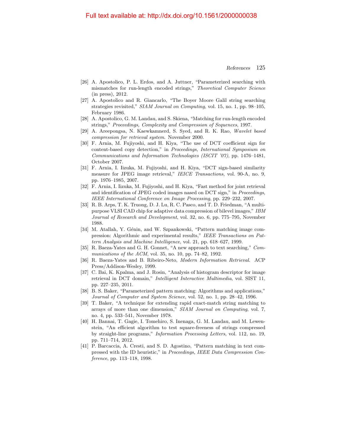- [26] A. Apostolico, P. L. Erdos, and A. Juttner, "Parameterized searching with mismatches for run-length encoded strings," Theoretical Computer Science (in press), 2012.
- [27] A. Apostolico and R. Giancarlo, "The Boyer Moore Galil string searching strategies revisited," SIAM Journal on Computing, vol. 15, no. 1, pp. 98–105, February 1986.
- [28] A. Apostolico, G. M. Landau, and S. Skiena, "Matching for run-length encoded strings," Proceedings, Complexity and Compression of Sequences, 1997.
- [29] A. Areepongsa, N. Kaewkamnerd, S. Syed, and R. K. Rao, Wavelet based compression for retrieval system. November 2000.
- [30] F. Arnia, M. Fujiyoshi, and H. Kiya, "The use of DCT coefficient sign for content-based copy detection," in Proceedings, International Symposium on Communications and Information Technologies (ISCIT '07), pp. 1476–1481, October 2007.
- [31] F. Arnia, I. Iizuka, M. Fujiyoshi, and H. Kiya, "DCT sign-based similarity measure for JPEG image retrieval," IEICE Transactions, vol. 90-A, no. 9, pp. 1976–1985, 2007.
- [32] F. Arnia, I. Iizuka, M. Fujiyoshi, and H. Kiya, "Fast method for joint retrieval and identification of JPEG coded images nased on DCT sign," in Proceedings, IEEE International Conference on Image Processing, pp. 229–232, 2007.
- [33] R. B. Arps, T. K. Truong, D. J. Lu, R. C. Pasco, and T. D. Friedman, "A multipurpose VLSI CAD chip for adaptive data compression of bilevel images," IBM Journal of Research and Development, vol. 32, no. 6, pp. 775–795, November 1988.
- [34] M. Atallah, Y. Génin, and W. Szpankowski, "Pattern matching image compression: Algorithmic and experimental results," IEEE Transactions on Pattern Analysis and Machine Intelligence, vol. 21, pp. 618–627, 1999.
- [35] R. Baeza-Yates and G. H. Gonnet, "A new approach to text searching," Communications of the ACM, vol. 35, no. 10, pp. 74–82, 1992.
- [36] R. Baeza-Yates and B. Ribeiro-Neto, Modern Information Retrieval. ACP Press/Addison-Wesley, 1999.
- [37] C. Bai, K. Kpalma, and J. Rosin, "Analysis of histogram descriptor for image retrieval in DCT domain," Intelligent Interactive Multimedia, vol. SIST 11, pp. 227–235, 2011.
- [38] B. S. Baker, "Parameterized pattern matching: Algorithms and applications," Journal of Computer and System Science, vol. 52, no. 1, pp. 28–42, 1996.
- [39] T. Baker, "A technique for extending rapid exact-match string matching to arrays of more than one dimension," SIAM Journal on Computing, vol. 7, no. 4, pp. 533–541, November 1978.
- [40] H. Bannai, T. Gagie, I. Tomehiro, S. Inenaga, G. M. Landau, and M. Lewenstein, "An efficient algorithm to test square-freeness of strings compressed by straight-line programs," Information Processing Letters, vol. 112, no. 19, pp. 711–714, 2012.
- [41] P. Barcaccia, A. Cresti, and S. D. Agostino, "Pattern matching in text compressed with the ID heuristic," in Proceedings, IEEE Data Compression Conference, pp. 113–118, 1998.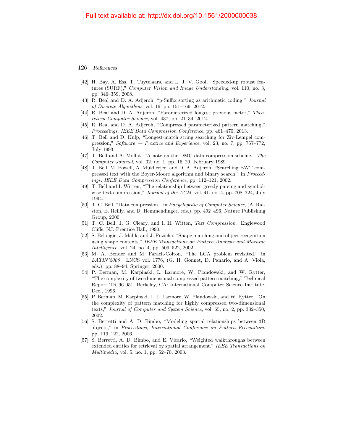- [42] H. Bay, A. Ess, T. Tuytelaars, and L. J. V. Gool, "Speeded-up robust features (SURF)," Computer Vision and Image Understanding, vol. 110, no. 3, pp. 346–359, 2008.
- [43] R. Beal and D. A. Adjeroh, "p-Suffix sorting as arithmetic coding," Journal of Discrete Algorithms, vol. 16, pp. 151–169, 2012.
- [44] R. Beal and D. A. Adjeroh, "Parameterized longest previous factor," Theoretical Computer Science, vol. 437, pp. 21–34, 2012.
- [45] R. Beal and D. A. Adjeroh, "Compressed parameterized pattern matching," Proceedings, IEEE Data Compression Conference, pp. 461–470, 2013.
- [46] T. Bell and D. Kulp, "Longest-match string searching for Ziv-Lempel compression,"  $Software - Practice$  and Experience, vol. 23, no. 7, pp. 757–772, July 1993.
- [47] T. Bell and A. Moffat, "A note on the DMC data compression scheme," The Computer Journal, vol. 32, no. 1, pp. 16–20, February 1989.
- [48] T. Bell, M. Powell, A. Mukherjee, and D. A. Adjeroh, "Searching BWT compressed text with the Boyer-Moore algorithm and binary search," in Proceedings, IEEE Data Compression Conference, pp. 112–121, 2002.
- [49] T. Bell and I. Witten, "The relationship between greedy parsing and symbolwise text compression," *Journal of the ACM*, vol. 41, no. 4, pp. 708–724, July 1994.
- <span id="page-21-0"></span>[50] T. C. Bell, "Data compression," in Encyclopedia of Computer Science, (A. Ralston, E. Reilly, and D. Hemmendinger, eds.), pp. 492–496, Nature Publishing Group, 2000.
- <span id="page-21-1"></span>[51] T. C. Bell, J. G. Cleary, and I. H. Witten, Text Compression. Englewood Cliffs, NJ: Prentice Hall, 1990.
- [52] S. Belongie, J. Malik, and J. Puzicha, "Shape matching and object recognition using shape contexts," IEEE Transactions on Pattern Analysis and Machine Intelligence, vol. 24, no. 4, pp. 509–522, 2002.
- [53] M. A. Bender and M. Farach-Colton, "The LCA problem revisited," in LATIN'2000 , LNCS vol. 1776, (G. H. Gonnet, D. Panario, and A. Viola, eds.), pp. 88–94, Springer, 2000.
- [54] P. Berman, M. Karpinski, L. Larmore, W. Plandowski, and W. Rytter, "The complexity of two-dimensional compressed pattern matching," Technical Report TR-96-051, Berkeley, CA: International Computer Science Institute, Dec., 1996.
- [55] P. Berman, M. Karpinski, L. L. Larmore, W. Plandowski, and W. Rytter, "On the complexity of pattern matching for highly compressed two-dimensional texts," Journal of Computer and System Science, vol. 65, no. 2, pp. 332–350, 2002.
- [56] S. Berretti and A. D. Bimbo, "Modeling spatial relationships between 3D objects," in Proceedings, International Conference on Pattern Recognition, pp. 119–122, 2006.
- [57] S. Berretti, A. D. Bimbo, and E. Vicario, "Weighted walkthroughs between extended entities for retrieval by spatial arrangement," IEEE Transactions on Multimedia, vol. 5, no. 1, pp. 52–70, 2003.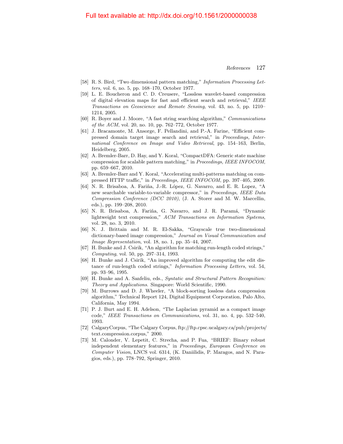- [58] R. S. Bird, "Two dimensional pattern matching," Information Processing Letters, vol. 6, no. 5, pp. 168–170, October 1977.
- [59] L. E. Boucheron and C. D. Creusere, "Lossless wavelet-based compression of digital elevation maps for fast and efficient search and retrieval," IEEE Transactions on Geoscience and Remote Sensing, vol. 43, no. 5, pp. 1210– 1214, 2005.
- [60] R. Boyer and J. Moore, "A fast string searching algorithm," Communications of the ACM, vol. 20, no. 10, pp. 762–772, October 1977.
- [61] J. Bracamonte, M. Ansorge, F. Pellandini, and P.-A. Farine, "Efficient compressed domain target image search and retrieval," in Proceedings, International Conference on Image and Video Retrieval, pp. 154–163, Berlin, Heidelberg, 2005.
- [62] A. Bremler-Barr, D. Hay, and Y. Koral, "CompactDFA: Generic state machine compression for scalable pattern matching," in Proceedings, IEEE INFOCOM, pp. 659–667, 2010.
- [63] A. Bremler-Barr and Y. Koral, "Accelerating multi-patterns matching on compressed HTTP traffic," in Proceedings, IEEE INFOCOM, pp. 397–405, 2009.
- [64] N. R. Brisaboa, A. Fariña, J.-R. López, G. Navarro, and E. R. Lopez, "A new searchable variable-to-variable compressor," in Proceedings, IEEE Data Compression Conference (DCC 2010), (J. A. Storer and M. W. Marcellin, eds.), pp. 199–208, 2010.
- [65] N. R. Brisaboa, A. Fariña, G. Navarro, and J. R. Paramá, "Dynamic lightweight text compression," ACM Transactions on Information Systems, vol. 28, no. 3, 2010.
- [66] N. J. Brittain and M. R. El-Sakka, "Grayscale true two-dimensional dictionary-based image compression," Journal on Visual Communication and Image Representation, vol. 18, no. 1, pp. 35–44, 2007.
- [67] H. Bunke and J. Csirik, "An algorithm for matching run-length coded strings," Computing, vol. 50, pp. 297–314, 1993.
- [68] H. Bunke and J. Csirik, "An improved algorithm for computing the edit distance of run-length coded strings," Information Processing Letters, vol. 54, pp. 93–96, 1995.
- [69] H. Bunke and A. Sanfeliu, eds., Syntatic and Structural Pattern Recognition: Theory and Applications. Singapore: World Scientific, 1990.
- <span id="page-22-0"></span>[70] M. Burrows and D. J. Wheeler, "A block-sorting lossless data compression algorithm," Technical Report 124, Digital Equipment Corporation, Palo Alto, California, May 1994.
- [71] P. J. Burt and E. H. Adelson, "The Laplacian pyramid as a compact image code," IEEE Transactions on Communications, vol. 31, no. 4, pp. 532–540, 1993.
- [72] CalgaryCorpus, "The Calgary Corpus, ftp://ftp.cpsc.ucalgary.ca/pub/projects/ text.compression.corpus," 2000.
- [73] M. Calonder, V. Lepetit, C. Strecha, and P. Fua, "BRIEF: Binary robust independent elementary features," in Proceedings, European Conference on Computer Vision, LNCS vol. 6314, (K. Daniilidis, P. Maragos, and N. Paragios, eds.), pp. 778–792, Springer, 2010.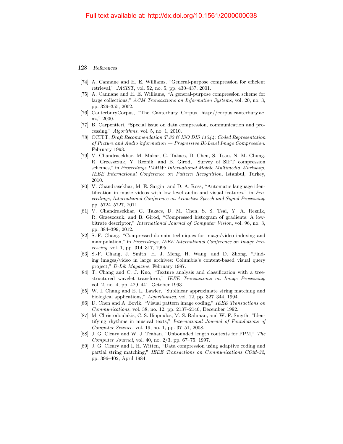- [74] A. Cannane and H. E. Williams, "General-purpose compression for efficient retrieval," JASIST, vol. 52, no. 5, pp. 430–437, 2001.
- [75] A. Cannane and H. E. Williams, "A general-purpose compression scheme for large collections," ACM Transactions on Information Systems, vol. 20, no. 3, pp. 329–355, 2002.
- [76] CanterburyCorpus, "The Canterbury Corpus, http://corpus.canterbury.ac. nz," 2000.
- [77] B. Carpentieri, "Special issue on data compression, communication and processing," Algorithms, vol. 5, no. 1, 2010.
- [78] CCITT, Draft Recommendation T.82 & ISO DIS 11544: Coded Representation of Picture and Audio information — Progressive Bi-Level Image Compression. February 1993.
- [79] V. Chandrasekhar, M. Makar, G. Takacs, D. Chen, S. Tsau, N. M. Chung, R. Grzeszczuk, Y. Reznik, and B. Girod, "Survey of SIFT compression schemes," in Proceedings IMMW: International Mobile Multimedia Workshop, IEEE International Conference on Pattern Recognition, Istanbul, Turkey, 2010.
- [80] V. Chandrasekhar, M. E. Sargin, and D. A. Ross, "Automatic language identification in music videos with low level audio and visual features," in Proceedings, International Conference on Acoustics Speech and Signal Processing, pp. 5724–5727, 2011.
- [81] V. Chandrasekhar, G. Takacs, D. M. Chen, S. S. Tsai, Y. A. Reznik, R. Grzeszczuk, and B. Girod, "Compressed histogram of gradients: A lowbitrate descriptor," International Journal of Computer Vision, vol. 96, no. 3, pp. 384–399, 2012.
- [82] S.-F. Chang, "Compressed-domain techniques for image/video indexing and manipulation," in Proceedings, IEEE International Conference on Image Processing, vol. 1, pp. 314–317, 1995.
- [83] S.-F. Chang, J. Smith, H. J. Meng, H. Wang, and D. Zhong, "Finding images/video in large archives: Columbia's content-based visual query project," D-Lib Magazine, February 1997.
- [84] T. Chang and C. J. Kuo, "Texture analysis and classification with a treestructured wavelet transform," IEEE Transactions on Image Processing, vol. 2, no. 4, pp. 429–441, October 1993.
- [85] W. I. Chang and E. L. Lawler, "Sublinear approximate string matching and biological applications," Algorithmica, vol. 12, pp. 327–344, 1994.
- [86] D. Chen and A. Bovik, "Visual pattern image coding," IEEE Transactions on Communications, vol. 38, no. 12, pp. 2137–2146, December 1992.
- [87] M. Christodoulakis, C. S. Iliopoulos, M. S. Rahman, and W. F. Smyth, "Identifying rhythms in musical texts," International Journal of Foundations of Computer Science, vol. 19, no. 1, pp. 37–51, 2008.
- [88] J. G. Cleary and W. J. Teahan, "Unbounded length contexts for PPM," The Computer Journal, vol. 40, no. 2/3, pp. 67–75, 1997.
- [89] J. G. Cleary and I. H. Witten, "Data compression using adaptive coding and partial string matching," IEEE Transactions on Communications COM-32, pp. 396–402, April 1984.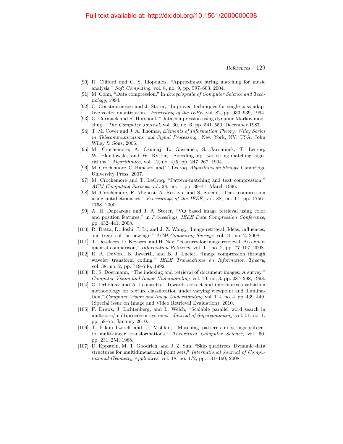- [90] R. Clifford and C. S. Iliopoulos, "Approximate string matching for music analysis," Soft Computing, vol. 8, no. 9, pp. 597–603, 2004.
- <span id="page-24-2"></span>[91] M. Cohn, "Data compression," in Encyclopedia of Computer Science and Technology, 1994.
- [92] C. Constantinescu and J. Storer, "Improved techniques for single-pass adaptive vector quantization," Proceeding of the IEEE, vol. 82, pp. 933–939, 1994.
- [93] G. Cormack and R. Horspool, "Data compression using dynamic Markov modeling," The Computer Journal, vol. 30, no. 6, pp. 541–550, December 1987.
- [94] T. M. Cover and J. A. Thomas, Elements of Information Theory, Wiley Series in Telecommunications and Signal Processing. New York, NY, USA: John Wiley & Sons, 2006.
- [95] M. Crochemore, A. Czumaj, L. Gasieniec, S. Jarominek, T. Lecroq, W. Plandowski, and W. Rytter, "Speeding up two string-matching algorithms," Algorithmica, vol. 12, no. 4/5, pp. 247–267, 1994.
- [96] M. Crochemore, C. Hancart, and T. Lecroq, Algorithms on Strings. Cambridge University Press, 2007.
- <span id="page-24-1"></span>[97] M. Crochemore and T. LeCroq, "Pattern-matching and text compression," ACM Computing Surveys, vol. 28, no. 1, pp. 39–41, March 1996.
- [98] M. Crochemore, F. Mignosi, A. Restivo, and S. Salemi, "Data compression using antidictionaries," Proceedings of the IEEE, vol. 88, no. 11, pp. 1756– 1768, 2000.
- [99] A. H. Daptardar and J. A. Storer, "VQ based image retrieval using color and position features," in Proceedings, IEEE Data Compression Conference, pp. 432–441, 2008.
- <span id="page-24-0"></span>[100] R. Datta, D. Joshi, J. Li, and J. Z. Wang, "Image retrieval: Ideas, influences, and trends of the new age," ACM Computing Surveys, vol. 40, no. 2, 2008.
- [101] T. Deselaers, D. Keysers, and H. Ney, "Features for image retrieval: An experimental comparison," Information Retrieval, vol. 11, no. 2, pp. 77–107, 2008.
- [102] R. A. DeVore, B. Jawerth, and B. J. Lucier, "Image compression through wavelet transform coding," IEEE Transactions on Information Theory, vol. 38, no. 2, pp. 719–746, 1992.
- [103] D. S. Doermann, "The indexing and retrieval of document images: A survey," Computer Vision and Image Understanding, vol. 70, no. 3, pp. 287–298, 1998.
- [104] O. Drbohlav and A. Leonardis, "Towards correct and informative evaluation methodology for texture classification under varying viewpoint and illumination," Computer Vision and Image Understanding, vol. 114, no. 4, pp. 439–449, (Special issue on Image and Video Retrieval Evaluation), 2010.
- [105] F. Drews, J. Lichtenberg, and L. Welch, "Scalable parallel word search in multicore/multiprocessor systems," Journal of Supercomputing, vol. 51, no. 1, pp. 58–75, Janaury 2010.
- [106] T. Eilam-Tzoreff and U. Vishkin, "Matching patterns in strings subject to multi-linear transformations," Theoretical Computer Science, vol. 60, pp. 231–254, 1988.
- [107] D. Eppstein, M. T. Goodrich, and J. Z. Sun, "Skip quadtrees: Dynamic data structures for multidimensional point sets," International Journal of Computational Geometry Appliances, vol. 18, no. 1/2, pp. 131–160, 2008.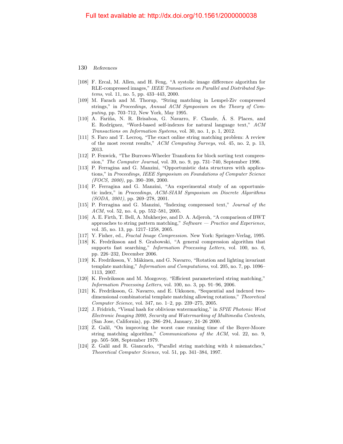- [108] F. Ercal, M. Allen, and H. Feng, "A systolic image difference algorithm for RLE-compressed images," IEEE Transactions on Parallel and Distributed Systems, vol. 11, no. 5, pp. 433–443, 2000.
- [109] M. Farach and M. Thorup, "String matching in Lempel-Ziv compressed strings," in Proceedings, Annual ACM Symposium on the Theory of Computing, pp. 703–712, New York, May 1995.
- [110] A. Fariña, N. R. Brisaboa, G. Navarro, F. Claude, Á. S. Places, and E. Rodríguez, "Word-based self-indexes for natural language text," ACM Transactions on Information Systems, vol. 30, no. 1, p. 1, 2012.
- [111] S. Faro and T. Lecroq, "The exact online string matching problem: A review of the most recent results," ACM Computing Surveys, vol. 45, no. 2, p. 13, 2013.
- [112] P. Fenwick, "The Burrows-Wheeler Transform for block sorting text compression," The Computer Journal, vol. 39, no. 9, pp. 731–740, September 1996.
- [113] P. Ferragina and G. Manzini, "Opportunistic data structures with applications," in Proceedings, IEEE Symposium on Foundations of Computer Science  $(FOCS, 2000)$ , pp. 390–398, 2000.
- [114] P. Ferragina and G. Manzini, "An experimental study of an opportunistic index," in Proceedings, ACM-SIAM Symposium on Discrete Algorithms (SODA, 2001), pp. 269–278, 2001.
- [115] P. Ferragina and G. Manzini, "Indexing compressed text," Journal of the ACM, vol. 52, no. 4, pp. 552–581, 2005.
- [116] A. E. Firth, T. Bell, A. Mukherjee, and D. A. Adjeroh, "A comparison of BWT approaches to string pattern matching,"  $Software - Practice$  and Experience, vol. 35, no. 13, pp. 1217–1258, 2005.
- [117] Y. Fisher, ed., Fractal Image Compression. New York: Springer-Verlag, 1995.
- [118] K. Fredriksson and S. Grabowski, "A general compression algorithm that supports fast searching," *Information Processing Letters*, vol. 100, no. 6, pp. 226–232, December 2006.
- [119] K. Fredriksson, V. Mäkinen, and G. Navarro, "Rotation and lighting invariant template matching," Information and Computations, vol. 205, no. 7, pp. 1096– 1113, 2007.
- [120] K. Fredriksson and M. Mozgovoy, "Efficient parameterized string matching," Information Processing Letters, vol. 100, no. 3, pp. 91–96, 2006.
- [121] K. Fredriksson, G. Navarro, and E. Ukkonen, "Sequential and indexed twodimensional combinatorial template matching allowing rotations," Theoretical Computer Science, vol. 347, no. 1–2, pp. 239–275, 2005.
- [122] J. Fridrich, "Visual hash for oblivious watermarking," in SPIE Photonic West Electronic Imaging 2000, Security and Watermarking of Multimedia Contents, (San Jose, California), pp. 286–294, January, 24–26 2000.
- [123] Z. Galil, "On improving the worst case running time of the Boyer-Moore string matching algorithm," Communications of the ACM, vol. 22, no. 9, pp. 505–508, September 1979.
- [124] Z. Galil and R. Giancarlo, "Parallel string matching with k mismatches," Theoretical Computer Science, vol. 51, pp. 341–384, 1997.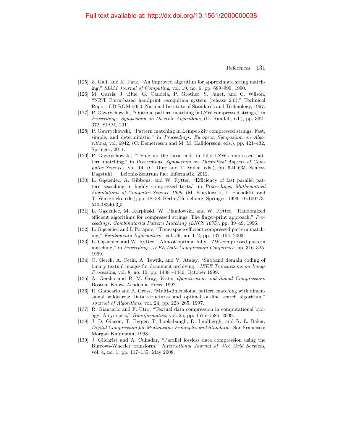- [125] Z. Galil and K. Park, "An improved algorithm for approximate string matching," SIAM Journal of Computing, vol. 19, no. 6, pp. 689–999, 1990.
- [126] M. Garris, J. Blue, G. Candela, P. Grother, S. Janet, and C. Wilson, "NIST Form-based handprint recognition system (release 2.0)," Technical Report CD-ROM 5050, National Institute of Standards and Technology, 1997.
- [127] P. Gawrychowski, "Optimal pattern matching in LZW compressed strings," in Proceedings, Symposium on Discrete Algorithms, (D. Randall, ed.), pp. 362– 372, SIAM, 2011.
- [128] P. Gawrychowski, "Pattern matching in Lempel-Ziv compressed strings: Fast, simple, and deterministic," in Proceedings, European Symposium on Algorithms, vol. 6942, (C. Demetrescu and M. M. Halldórsson, eds.), pp.  $421-432$ , Springer, 2011.
- [129] P. Gawrychowski, "Tying up the loose ends in fully LZW-compressed pattern matching," in Proceedings, Symposium on Theoretical Aspects of Computer Sciences, vol. 14, (C. Dürr and T. Wilke, eds.), pp. 624–635, Schloss Dagstuhl — Leibniz-Zentrum fuer Informatik, 2012.
- [130] L. Gasieniec, A. Gibbons, and W. Rytter, "Efficiency of fast parallel pattern searching in highly compressed texts," in Proceedings, Mathematical Foundations of Computer Science 1999, (M. Kutylowski, L. Pacholski, and T. Wierzbicki, eds.), pp. 48–58, Berlin/Heidelberg: Springer, 1999. 10.1007/3- 540-48340-3 5.
- [131] L. Gasieniec, M. Karpinski, W. Plandowski, and W. Rytter, "Randomized" efficient algorithms for compressed strings: The finger-print approach," Proceedings, Combinatorial Pattern Matching (LNCS 1075), pp. 39–49, 1996.
- [132] L. Gasieniec and I. Potapov, "Time/space efficient compressed pattern matching," Fundamenta Informaticae, vol. 56, no. 1–2, pp. 137–154, 2003.
- <span id="page-26-0"></span>[133] L. Gasieniec and W. Rytter, "Almost optimal fully LZW-compressed pattern matching," in Proceedings, IEEE Data Compression Conference, pp. 316–325, 1999.
- [134] O. Gerek, A. Cetin, A. Tewfik, and V. Atalay, "Subband domain coding of binary textual images for document archiving," IEEE Transactions on Image Processing, vol. 8, no. 10, pp. 1438 –1446, October 1999.
- [135] A. Gersho and R. M. Gray, Vector Quantization and Signal Compression. Boston: Kluwa Academic Press, 1992.
- [136] R. Giancarlo and R. Gross, "Multi-dimensional pattern matching with dimensional wildcards: Data structures and optimal on-line search algorithm," Journal of Algorithms, vol. 24, pp. 223–265, 1997.
- [137] R. Giancarlo and F. Utro, "Textual data compression in computational biology: A synopsis," Bioinformatics, vol. 25, pp. 1575–1586, 2009.
- [138] J. D. Gibson, T. Berger, T. Lookabaugh, D. Lindbergh, and R. L. Baker, Digital Compression for Multimedia: Principles and Standards. San Francisco: Morgan Kaufmann, 1998.
- [139] J. Gilchrist and A. Cuhadar, "Parallel lossless data compression using the Burrows-Wheeler transform," International Journal of Web Grid Services, vol. 4, no. 1, pp. 117–135, May 2008.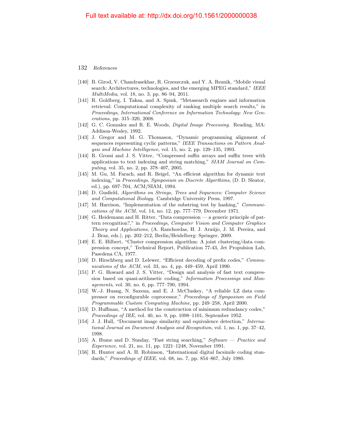- [140] B. Girod, V. Chandrasekhar, R. Grzeszczuk, and Y. A. Reznik, "Mobile visual search: Architectures, technologies, and the emerging MPEG standard," IEEE MultiMedia, vol. 18, no. 3, pp. 86–94, 2011.
- [141] R. Goldberg, I. Taksa, and A. Spink, "Metasearch engines and information retrieval: Computational complexity of ranking multiple search results," in Proceedings, International Conference on Information Technology: New Generations, pp. 315–320, 2008.
- [142] G. C. Gonzalez and R. E. Woods, *Digital Image Processing*. Reading, MA: Addison-Wesley, 1992.
- [143] J. Gregor and M. G. Thomason, "Dynamic programming alignment of sequences representing cyclic patterns," IEEE Transactions on Pattern Analysis and Machine Intelligence, vol. 15, no. 2, pp. 129–135, 1993.
- [144] R. Grossi and J. S. Vitter, "Compressed suffix arrays and suffix trees with applications to text indexing and string matching," SIAM Journal on Computing, vol. 35, no. 2, pp. 378–407, 2005.
- [145] M. Gu, M. Farach, and R. Beigel, "An efficient algorithm for dynamic text indexing," in Proceedings, Symposium on Discrete Algorthims, (D. D. Sleator, ed.), pp. 697–704, ACM/SIAM, 1994.
- [146] D. Gusfield, Algorithms on Strings, Trees and Sequences: Computer Science and Computational Biology. Cambridge University Press, 1997.
- [147] M. Harrison, "Implementation of the substring test by hashing," Communications of the ACM, vol. 14, no. 12, pp. 777–779, December 1971.
- [148] G. Heidemann and H. Ritter, "Data compression a generic principle of pattern recognition?," in Proceedings, Computer Vision and Computer Graphics Theory and Applications, (A. Ranchordas, H. J. Araújo, J. M. Pereira, and J. Braz, eds.), pp. 202–212, Berlin/Heidelberg: Springer, 2009.
- [149] E. E. Hilbert, "Cluster compression algorithm: A joint clustering/data compression concept," Technical Report, Publication 77-43, Jet Propulsion Lab, Pasedena CA, 1977.
- [150] D. Hirschberg and D. Lelewer, "Efficient decoding of prefix codes," Communications of the ACM, vol. 33, no. 4, pp. 449–459, April 1990.
- [151] P. G. Howard and J. S. Vitter, "Design and analysis of fast text compression based on quasi-arithmetic coding," Information Processings and Managements, vol. 30, no. 6, pp. 777–790, 1994.
- [152] W.-J. Huang, N. Saxena, and E. J. McCluskey, "A reliable LZ data compressor on reconfigurable coprocessor," Proceedings of Symposium on Field Programmable Custom Computing Machine, pp. 249–258, April 2000.
- [153] D. Huffman, "A method for the construction of minimum redundancy codes," Proceedings of IRE, vol. 40, no. 9, pp. 1098–1101, September 1952.
- [154] J. J. Hull, "Document image similarity and equivalence detection," International Journal on Document Analysis and Recognition, vol. 1, no. 1, pp. 37–42, 1998.
- [155] A. Hume and D. Sunday, "Fast string searching," Software Practice and Experience, vol. 21, no. 11, pp. 1221–1248, November 1991.
- [156] R. Hunter and A. H. Robinson, "International digital facsimile coding standards," Proceedings of IEEE, vol. 68, no. 7, pp. 854–867, July 1980.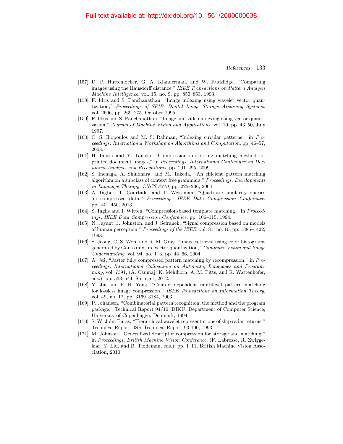- [157] D. P. Huttenlocher, G. A. Klanderman, and W. Rucklidge, "Comparing images using the Hausdorff distance," IEEE Transactions on Pattern Analysis Machine Intelligence, vol. 15, no. 9, pp. 850–863, 1993.
- [158] F. Idris and S. Panchanathan, "Image indexing using wavelet vector quantization," Proceedings of SPIE: Digital Image Storage Archiving Systems, vol. 2606, pp. 269–275, October 1995.
- [159] F. Idris and S. Panchanathan, "Image and video indexing using vector quantization," Journal of Machine Vision and Applications, vol. 10, pp. 43–50, July 1997.
- [160] C. S. Iliopoulos and M. S. Rahman, "Indexing circular patterns," in Proceedings, International Workshop on Algorthims and Computation, pp. 46–57, 2008.
- [161] H. Imura and Y. Tanaka, "Compression and string matching method for printed document images," in Proceedings, International Conference on Document Analysis and Recognitions, pp. 291–295, 2009.
- [162] S. Inenaga, A. Shinohara, and M. Takeda, "An efficient pattern matching algorithm on a subclass of context free grammars," Proceedings, Developments in Language Therapy, LNCS 3340, pp. 225–236, 2004.
- [163] A. Ingber, T. Courtade, and T. Weissman, "Quadratic similarity queries on compressed data," Proceedings, IEEE Data Compression Conference, pp. 441–450, 2013.
- [164] S. Inglis and I. Witten, "Compression-based template matching," in Proceedings, IEEE Data Compression Conference, pp. 106–115, 1994.
- [165] N. Jayant, J. Johnston, and J. Sefranek, "Signal compression based on models of human perception," Proceedings of the IEEE, vol. 81, no. 10, pp. 1385–1422, 1993.
- [166] S. Jeong, C. S. Won, and R. M. Gray, "Image retrieval using color histograms generated by Gauss mixture vector quantization," Computer Vision and Image Understanding, vol. 94, no. 1–3, pp. 44–66, 2004.
- [167] A. Jeż, "Faster fully compressed pattern matching by recompression," in Proceedings, International Colloquium on Automata, Languages and Programming, vol. 7391, (A. Czumaj, K. Mehlhorn, A. M. Pitts, and R. Wattenhofer, eds.), pp. 533–544, Springer, 2012.
- [168] Y. Jia and E.-H. Yang, "Context-dependent multilevel pattern matching for lossless image compression," IEEE Transactions on Information Theory, vol. 49, no. 12, pp. 3169–3184, 2003.
- [169] P. Johansen, "Combinatorial pattern recognition, the method and the program package," Technical Report 94/10, DIKU, Department of Computer Science, University of Copenhagen, Denmark, 1994.
- [170] S. W. John Baras, "Hierarchical wavelet representations of ship radar returns," Technical Report, ISR Technical Report 93-100, 1993.
- [171] M. Johnson, "Generalized descriptor compression for storage and matching," in Proceedings, British Machine Vision Conference, (F. Labrosse, R. Zwiggelaar, Y. Liu, and B. Tiddeman, eds.), pp. 1–11, British Machine Vision Association, 2010.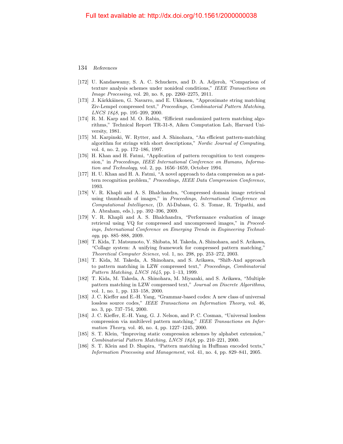- [172] U. Kandaswamy, S. A. C. Schuckers, and D. A. Adjeroh, "Comparison of texture analysis schemes under nonideal conditions," IEEE Transactions on Image Processing, vol. 20, no. 8, pp. 2260–2275, 2011.
- [173] J. Kärkkäinen, G. Navarro, and E. Ukkonen, "Approximate string matching Ziv-Lempel compressed text," Proceedings, Combinatorial Pattern Matching, LNCS 1848, pp. 195–209, 2000.
- [174] R. M. Karp and M. O. Rabin, "Efficient randomized pattern matching algorithms," Technical Report TR-31-8, Aiken Computation Lab, Harvard University, 1981.
- [175] M. Karpinski, W. Rytter, and A. Shinohara, "An efficient pattern-matching algorithm for strings with short descriptions," Nordic Journal of Computing, vol. 4, no. 2, pp. 172–186, 1997.
- [176] H. Khan and H. Fatmi, "Application of pattern recognition to text compression," in Proceedings, IEEE International Conference on Humans, Information and Technology, vol. 2, pp. 1656–1659, October 1994.
- [177] H. U. Khan and H. A. Fatmi, "A novel approach to data compression as a pattern recognition problem," Proceedings, IEEE Data Compression Conference, 1993.
- [178] V. R. Khapli and A. S. Bhalchandra, "Compressed domain image retrieval using thumbnails of images," in Proceedings, International Conference on Computational Intelligence, (D. Al-Dabass, G. S. Tomar, R. Tripathi, and A. Abraham, eds.), pp. 392–396, 2009.
- [179] V. R. Khapli and A. S. Bhalchandra, "Performance evaluation of image retrieval using VQ for compressed and uncompressed images," in Proceedings, International Conference on Emerging Trends in Engineering Technology, pp. 885–888, 2009.
- [180] T. Kida, T. Matsumoto, Y. Shibata, M. Takeda, A. Shinohara, and S. Arikawa, "Collage system: A unifying framework for compressed pattern matching," Theoretical Computer Science, vol. 1, no. 298, pp. 253–272, 2003.
- [181] T. Kida, M. Takeda, A. Shinohara, and S. Arikawa, "Shift-And approach to pattern matching in LZW compressed text," Proceedings, Combinatorial Pattern Matching, LNCS 1645, pp. 1–13, 1999.
- [182] T. Kida, M. Takeda, A. Shinohara, M. Miyazaki, and S. Arikawa, "Multiple pattern matching in LZW compressed text," Journal on Discrete Algorithms, vol. 1, no. 1, pp. 133–158, 2000.
- [183] J. C. Kieffer and E.-H. Yang, "Grammar-based codes: A new class of universal lossless source codes," IEEE Transactions on Information Theory, vol. 46, no. 3, pp. 737–754, 2000.
- [184] J. C. Kieffer, E.-H. Yang, G. J. Nelson, and P. C. Cosman, "Universal lossless compression via multilevel pattern matching," IEEE Transactions on Information Theory, vol. 46, no. 4, pp. 1227–1245, 2000.
- [185] S. T. Klein, "Improving static compression schemes by alphabet extension," Combinatorial Pattern Matching, LNCS 1848, pp. 210–221, 2000.
- [186] S. T. Klein and D. Shapira, "Pattern matching in Huffman encoded texts," Information Processing and Management, vol. 41, no. 4, pp. 829–841, 2005.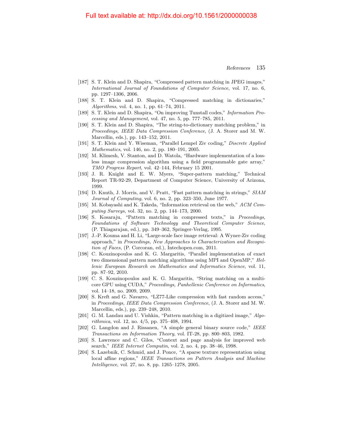- [187] S. T. Klein and D. Shapira, "Compressed pattern matching in JPEG images," International Journal of Foundations of Computer Science, vol. 17, no. 6, pp. 1297–1306, 2006.
- [188] S. T. Klein and D. Shapira, "Compressed matching in dictionaries," Algorithms, vol. 4, no. 1, pp. 61–74, 2011.
- [189] S. T. Klein and D. Shapira, "On improving Tunstall codes," Information Processing and Management, vol. 47, no. 5, pp. 777–785, 2011.
- [190] S. T. Klein and D. Shapira, "The string-to-dictionary matching problem," in Proceedings, IEEE Data Compression Conference, (J. A. Storer and M. W. Marcellin, eds.), pp. 143–152, 2011.
- [191] S. T. Klein and Y. Wiseman, "Parallel Lempel Ziv coding," Discrete Applied Mathematics, vol. 146, no. 2, pp. 180–191, 2005.
- [192] M. Klimesh, V. Stanton, and D. Watola, "Hardware implementation of a lossless image compression algorithm using a field programmable gate array," TMO Progress Report, vol. 42–144, February 15 2001.
- [193] J. R. Knight and E. W. Myers, "Super-pattern matching," Technical Report TR-92-29, Department of Computer Science, University of Arizona, 1999.
- [194] D. Knuth, J. Morris, and V. Pratt, "Fast pattern matching in strings," SIAM Journal of Computing, vol. 6, no. 2, pp. 323–350, June 1977.
- [195] M. Kobayashi and K. Takeda, "Information retrieval on the web," ACM Computing Surveys, vol. 32, no. 2, pp. 144–173, 2000.
- [196] S. Kosaraju, "Pattern matching in compressed texts," in Proceedings, Foundations of Software Technology and Theoretical Computer Science, (P. Thiagarajan, ed.), pp. 349–362, Springer-Verlag, 1995.
- [197] J.-P. Kouma and H. Li, "Large-scale face image retrieval: A Wyner-Ziv coding approach," in Proceedings, New Approaches to Characterization and Recognition of Faces, (P. Corcoran, ed.), Intechopen.com, 2011.
- [198] C. Kouzinopoulos and K. G. Margaritis, "Parallel implementation of exact two dimensional pattern matching algorithms using MPI and OpenMP," Hellenic European Research on Mathematics and Informatics Science, vol. 11, pp. 87–92, 2010.
- [199] C. S. Kouzinopoulos and K. G. Margaritis, "String matching on a multicore GPU using CUDA," Proceedings, Panhellenic Conference on Informatics, vol. 14–18, no. 2009, 2009.
- [200] S. Kreft and G. Navarro, "LZ77-Like compression with fast random access," in Proceedings, IEEE Data Compression Conference, (J. A. Storer and M. W. Marcellin, eds.), pp. 239–248, 2010.
- [201] G. M. Landau and U. Vishkin, "Pattern matching in a digitized image," Algorithmica, vol. 12, no. 4/5, pp. 375–408, 1994.
- [202] G. Langdon and J. Rissanen, "A simple general binary source code," IEEE Transactions on Information Theory, vol. IT-28, pp. 800–803, 1982.
- [203] S. Lawrence and C. Giles, "Context and page analysis for improved web search," IEEE Internet Computin, vol. 2, no. 4, pp. 38–46, 1998.
- [204] S. Lazebnik, C. Schmid, and J. Ponce, "A sparse texture representation using local affine regions," IEEE Transactions on Pattern Analysis and Machine Intelligence, vol. 27, no. 8, pp. 1265–1278, 2005.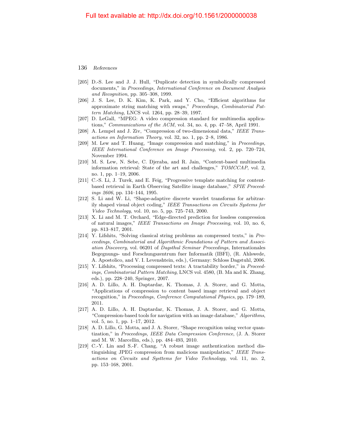- [205] D.-S. Lee and J. J. Hull, "Duplicate detection in symbolically compressed documents," in Proceedings, International Conference on Document Analysis and Recognition, pp. 305–308, 1999.
- [206] J. S. Lee, D. K. Kim, K. Park, and Y. Cho, "Efficient algorithms for approximate string matching with swaps," Proceedings, Combinatorial Pattern Matching, LNCS vol. 1264, pp. 28–39, 1997.
- [207] D. LeGall, "MPEG: A video compression standard for multimedia applications," Communications of the ACM, vol. 34, no. 4, pp. 47–58, April 1991.
- [208] A. Lempel and J. Ziv, "Compression of two-dimensional data," IEEE Transactions on Information Theory, vol. 32, no. 1, pp. 2–8, 1986.
- [209] M. Lew and T. Huang, "Image compression and matching," in Proceedings, IEEE International Conference on Image Processing, vol. 2, pp. 720–724, November 1994.
- <span id="page-31-0"></span>[210] M. S. Lew, N. Sebe, C. Djeraba, and R. Jain, "Content-based multimedia information retrieval: State of the art and challenges," TOMCCAP, vol. 2, no. 1, pp. 1–19, 2006.
- [211] C.-S. Li, J. Turek, and E. Feig, "Progressive template matching for contentbased retrieval in Earth Observing Satellite image database," SPIE Proceedings 2606, pp. 134–144, 1995.
- [212] S. Li and W. Li, "Shape-adaptive discrete wavelet transforms for arbitrarily shaped visual object coding," IEEE Transactions on Circuits Systems for Video Technology, vol. 10, no. 5, pp. 725–743, 2000.
- [213] X. Li and M. T. Orchard, "Edge-directed prediction for lossless compression of natural images," IEEE Transactions on Image Processing, vol. 10, no. 6, pp. 813–817, 2001.
- [214] Y. Lifshits, "Solving classical string problems an compressed texts," in Proceedings, Combinatorial and Algorithmic Foundations of Pattern and Association Discovery, vol. 06201 of Dagsthul Seminar Proceedings, Internationales Begegnungs- und Forschungszentrum fuer Informatik (IBFI), (R. Ahlswede, A. Apostolico, and V. I. Levenshtein, eds.), Germany: Schloss Dagstuhl, 2006.
- [215] Y. Lifshits, "Processing compressed texts: A tractability border," in Proceedings, Combinatorial Pattern Matching, LNCS vol. 4580, (B. Ma and K. Zhang, eds.), pp. 228–240, Springer, 2007.
- [216] A. D. Lillo, A. H. Daptardar, K. Thomas, J. A. Storer, and G. Motta, "Applications of compression to content based image retrieval and object recognition," in Proceedings, Conference Computational Physics, pp. 179–189, 2011.
- [217] A. D. Lillo, A. H. Daptardar, K. Thomas, J. A. Storer, and G. Motta, "Compression-based tools for navigation with an image database," Algorithms, vol. 5, no. 1, pp. 1–17, 2012.
- [218] A. D. Lillo, G. Motta, and J. A. Storer, "Shape recognition using vector quantization," in Proceedings, IEEE Data Compression Conference, (J. A. Storer and M. W. Marcellin, eds.), pp. 484–493, 2010.
- [219] C.-Y. Lin and S.-F. Chang, "A robust image authentication method distinguishing JPEG compression from malicious manipulation," IEEE Transactions on Circuits and Systtems for Video Technology, vol. 11, no. 2, pp. 153–168, 2001.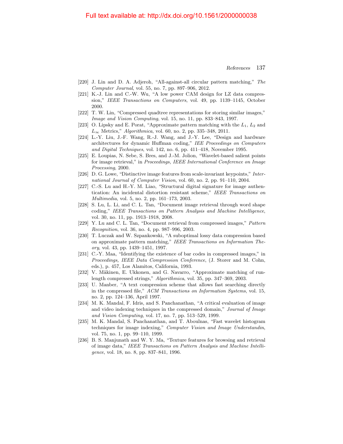- [220] J. Lin and D. A. Adjeroh, "All-against-all circular pattern matching," The Computer Journal, vol. 55, no. 7, pp. 897–906, 2012.
- [221] K.-J. Lin and C.-W. Wu, "A low power CAM design for LZ data compression," IEEE Transactions on Computers, vol. 49, pp. 1139–1145, October 2000.
- [222] T. W. Lin, "Compressed quadtree representations for storing similar images," Image and Vision Computing, vol. 15, no. 11, pp. 833–843, 1997.
- [223] O. Lipsky and E. Porat, "Approximate pattern matching with the  $L_1$ ,  $L_2$  and  $L_{\infty}$  Metrics," *Algorithmica*, vol. 60, no. 2, pp. 335–348, 2011.
- [224] L.-Y. Liu, J.-F. Wang, R.-J. Wang, and J.-Y. Lee, "Design and hardware architectures for dynamic Huffman coding," IEE Proceedings on Computers and Digital Techniques, vol. 142, no. 6, pp. 411–418, November 1995.
- [225] E. Loupias, N. Sebe, S. Bres, and J.-M. Jolion, "Wavelet-based salient points for image retrieval," in Proceedings, IEEE International Conference on Image Processing, 2000.
- [226] D. G. Lowe, "Distinctive image features from scale-invariant keypoints," International Journal of Computer Vision, vol. 60, no. 2, pp. 91–110, 2004.
- [227] C.-S. Lu and H.-Y. M. Liao, "Structural digital signature for image authentication: An incidental distortion resistant scheme," IEEE Transactions on Multimedia, vol. 5, no. 2, pp. 161–173, 2003.
- [228] S. Lu, L. Li, and C. L. Tan, "Document image retrieval through word shape coding," IEEE Transactions on Pattern Analysis and Machine Intelligence, vol. 30, no. 11, pp. 1913–1918, 2008.
- [229] Y. Lu and C. L. Tan, "Document retrieval from compressed images," Pattern Recognition, vol. 36, no. 4, pp. 987–996, 2003.
- [230] T. Luczak and W. Szpankowski, "A suboptimal lossy data compression based on approximate pattern matching," IEEE Transactions on Information Theory, vol. 43, pp. 1439–1451, 1997.
- [231] C.-Y. Maa, "Identifying the existence of bar codes in compressed images," in Proceedings, IEEE Data Compression Conference, (J. Storer and M. Cohn, eds.), p. 457, Los Alamitos, California, 1993.
- [232] V. Mäkinen, E. Ukkonen, and G. Navarro, "Approximate matching of runlength compressed strings," Algorithmica, vol. 35, pp. 347–369, 2003.
- [233] U. Manber, "A text compression scheme that allows fast searching directly in the compressed file," ACM Transactions on Information Systems, vol. 15, no. 2, pp. 124–136, April 1997.
- <span id="page-32-0"></span>[234] M. K. Mandal, F. Idris, and S. Panchanathan, "A critical evaluation of image and video indexing techniques in the compressed domain," Journal of Image and Vision Computing, vol. 17, no. 7, pp. 513–529, 1999.
- [235] M. K. Mandal, S. Panchanathan, and T. Aboulnas, "Fast wavelet histogram techniques for image indexing," Computer Vision and Image Understandin, vol. 75, no. 1, pp. 99–110, 1999.
- [236] B. S. Manjunath and W. Y. Ma, "Texture features for browsing and retrieval of image data," IEEE Transactions on Pattern Analysis and Machine Intelligence, vol. 18, no. 8, pp. 837–841, 1996.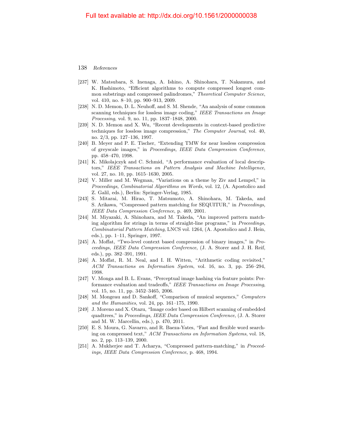- [237] W. Matsubara, S. Inenaga, A. Ishino, A. Shinohara, T. Nakamura, and K. Hashimoto, "Efficient algorithms to compute compressed longest common substrings and compressed palindromes," Theoretical Computer Science, vol. 410, no. 8–10, pp. 900–913, 2009.
- [238] N. D. Memon, D. L. Neuhoff, and S. M. Shende, "An analysis of some common scanning techniques for lossless image coding," IEEE Transactions on Image Processing, vol. 9, no. 11, pp. 1837–1848, 2000.
- [239] N. D. Memon and X. Wu, "Recent developments in context-based predictive techniques for lossless image compression," The Computer Journal, vol. 40, no. 2/3, pp. 127–136, 1997.
- [240] B. Meyer and P. E. Tischer, "Extending TMW for near lossless compression of greyscale images," in Proceedings, IEEE Data Compression Conference, pp. 458–470, 1998.
- [241] K. Mikolajczyk and C. Schmid, "A performance evaluation of local descriptors," IEEE Transactions on Pattern Analysis and Machine Intelligence, vol. 27, no. 10, pp. 1615–1630, 2005.
- [242] V. Miller and M. Wegman, "Variations on a theme by Ziv and Lempel," in Proceedings, Combinatorial Algorithms on Words, vol. 12, (A. Apostolico and Z. Galil, eds.), Berlin: Springer-Verlag, 1985.
- [243] S. Mitarai, M. Hirao, T. Matsumoto, A. Shinohara, M. Takeda, and S. Arikawa, "Compressed pattern matching for SEQUITUR," in Proceedings, IEEE Data Compression Conference, p. 469, 2001.
- [244] M. Miyazaki, A. Shinohara, and M. Takeda, "An improved pattern matching algorithm for strings in terms of straight-line programs," in Proceedings, Combinatorial Pattern Matching, LNCS vol. 1264, (A. Apostolico and J. Hein, eds.), pp. 1–11, Springer, 1997.
- [245] A. Moffat, "Two-level context based compression of binary images," in Proceedings, IEEE Data Compression Conference, (J. A. Storer and J. H. Reif, eds.), pp. 382–391, 1991.
- [246] A. Moffat, R. M. Neal, and I. H. Witten, "Arithmetic coding revisited," ACM Transactions on Information System, vol. 16, no. 3, pp. 256–294, 1998.
- [247] V. Monga and B. L. Evans, "Perceptual image hashing via feature points: Performance evaluation and tradeoffs," IEEE Transactions on Image Processing, vol. 15, no. 11, pp. 3452–3465, 2006.
- [248] M. Mongeau and D. Sankoff, "Comparison of musical sequencs," Computers and the Humanities, vol. 24, pp. 161–175, 1990.
- [249] J. Moreno and X. Otazu, "Image coder based on Hilbert scanning of embedded quadtrees," in Proceedings, IEEE Data Compression Conference, (J. A. Storer and M. W. Marcellin, eds.), p. 470, 2011.
- [250] E. S. Moura, G. Navarro, and R. Baeza-Yates, "Fast and flexible word searching on compressed text," ACM Transactions on Information Systems, vol. 18, no. 2, pp. 113–139, 2000.
- [251] A. Mukherjee and T. Acharya, "Compressed pattern-matching," in Proceedings, IEEE Data Compression Conference, p. 468, 1994.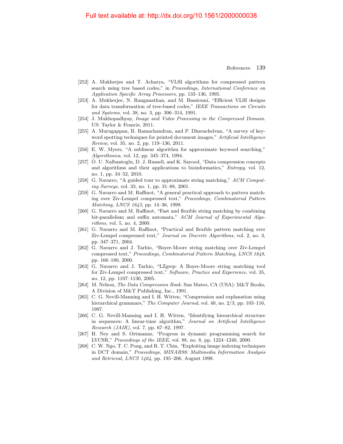- [252] A. Mukherjee and T. Acharya, "VLSI algorithms for compressed pattern search using tree based codes," in Proceedings, International Conference on Application Specific Array Processors, pp. 133–136, 1995.
- [253] A. Mukherjee, N. Ranganathan, and M. Bassiouni, "Efficient VLSI designs for data transformation of tree-based codes," IEEE Transactions on Circuits and Systems, vol. 38, no. 3, pp. 306–314, 1991.
- <span id="page-34-1"></span>[254] J. Mukhopadhyay, Image and Video Processing in the Compressed Domain. US: Taylor & Francis, 2011.
- [255] A. Murugappan, B. Ramachandran, and P. Dhavachelvan, "A survey of keyword spotting techniques for printed document images," Artificial Intelligence Review, vol. 35, no. 2, pp. 119–136, 2011.
- [256] E. W. Myers, "A sublinear algorithm for approximate keyword searching," Algorithmica, vol. 12, pp. 345–374, 1994.
- [257] O. U. Nalbantoglu, D. J. Russell, and K. Sayood, "Data compression concepts and algorithms and their applications to bioinformatics," Entropy, vol. 12, no. 1, pp. 34–52, 2010.
- [258] G. Navarro, "A guided tour to approximate string matching," ACM Computing Surveys, vol. 33, no. 1, pp. 31–88, 2001.
- [259] G. Navarro and M. Raffinot, "A general practical approach to pattern matching over Ziv-Lempel compressed text," Proceedings, Combinatorial Pattern Matching, LNCS 1645, pp. 14–36, 1999.
- [260] G. Navarro and M. Raffinot, "Fast and flexible string matching by combining bit-parallelism and suffix automata," ACM Journal of Experimental Algorithms, vol. 5, no. 4, 2000.
- [261] G. Navarro and M. Raffinot, "Practical and flexible pattern matching over Ziv-Lempel compressed text," Journal on Discrete Algorithms, vol. 2, no. 3, pp. 347–371, 2004.
- [262] G. Navarro and J. Tarhio, "Boyer-Moore string matching over Ziv-Lempel compressed text," Proceedings, Combinatorial Pattern Matching, LNCS 1848, pp. 166–180, 2000.
- [263] G. Navarro and J. Tarhio, "LZgrep: A Boyer-Moore string matching tool for Ziv-Lempel compressed text," Software, Practice and Experience, vol. 35, no. 12, pp. 1107–1130, 2005.
- <span id="page-34-0"></span>[264] M. Nelson, The Data Compression Book. San Mateo, CA (USA): M&T Books, A Division of M&T Publishing, Inc., 1991.
- [265] C. G. Nevill-Manning and I. H. Witten, "Compression and explanation using hierarchical grammars," The Computer Journal, vol. 40, no. 2/3, pp. 103–116, 1997.
- [266] C. G. Nevill-Manning and I. H. Witten, "Identifying hierarchical structure in sequences: A linear-time algorithm," Journal on Artificial Intelligence Research (JAIR), vol. 7, pp. 67–82, 1997.
- [267] H. Ney and S. Ortmanns, "Progress in dynamic programming search for LVCSR," Proceedings of the IEEE, vol. 88, no. 8, pp. 1224–1240, 2000.
- [268] C. W. Ngo, T. C. Pong, and R. T. Chin, "Exploiting image indexing techniques in DCT domain," Proceedings, MINAR98: Multimedia Information Analysis and Retrieval, LNCS 1464, pp. 195–206, August 1998.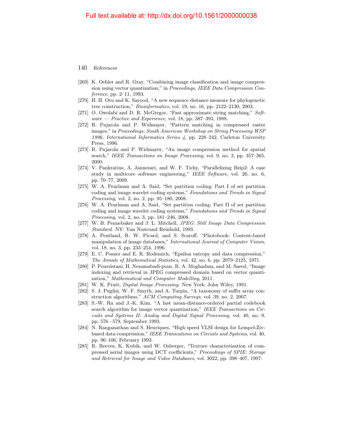- [269] K. Oehler and R. Gray, "Combining image classification and image compression using vector quantization," in Proceedings, IEEE Data Compression Conference, pp. 2–11, 1993.
- [270] H. H. Otu and K. Sayood, "A new sequence distance measure for phylogenetic tree construction," Bioinformatics, vol. 19, no. 16, pp. 2122–2130, 2003.
- [271] O. Owolabi and D. R. McGregor, "Fast approximate string matching," Software  $-$  Practice and Experience, vol. 18, pp. 387–393, 1988.
- [272] R. Pajarola and P. Widmayer, "Pattern matching in compressed raster images," in Proceedings, South American Workshop on String Processing WSP 1996, International Informatics Series 4, pp. 228–242, Carleton University Press, 1996.
- [273] R. Pajarola and P. Widmayer, "An image compression method for spatial search," IEEE Transactions on Image Processing, vol. 9, no. 3, pp. 357–365, 2000.
- [274] V. Pankratius, A. Jannesari, and W. F. Tichy, "Parallelizing Bzip2: A case study in multicore software engineering," IEEE Software, vol. 26, no. 6, pp. 70–77, 2009.
- [275] W. A. Pearlman and A. Said, "Set partition coding: Part I of set partition coding and image wavelet coding systems," Foundations and Trends in Signal Processing, vol. 2, no. 2, pp. 95–180, 2008.
- [276] W. A. Pearlman and A. Said, "Set partition coding: Part II of set partition coding and image wavelet coding systems," Foundations and Trends in Signal Processing, vol. 2, no. 3, pp. 181–246, 2008.
- [277] W. B. Pennebaker and J. L. Mitchell, JPEG: Still Image Data Compression Standard. NY: Van Nostrand Reinhold, 1993.
- [278] A. Pentland, R. W. Picard, and S. Scaroff, "Photobook: Content-based manipulation of image databases," International Journal of Computer Vision, vol. 18, no. 3, pp. 233–254, 1996.
- [279] E. C. Posner and E. R. Rodemich, "Epsilon entropy and data compression," The Annals of Mathematical Statistics, vol. 42, no. 6, pp. 2079–2125, 1971.
- [280] P. Poursistani, H. Nezamabadi-pour, R. A. Moghadam, and M. Saeed, "Image indexing and retrieval in JPEG compressed domain based on vector quantization," Mathematical and Computer Modelling, 2011.
- [281] W. K. Pratt, Digital Image Processing. New York: John Wiley, 1991.
- [282] S. J. Puglisi, W. F. Smyth, and A. Turpin, "A taxonomy of suffix array construction algorithms," ACM Computing Surveys, vol. 39, no. 2, 2007.
- [283] S.-W. Ra and J.-K. Kim, "A fast mean-distance-ordered partial codebook search algorithm for image vector quantization," IEEE Transactions on Circuits and Systems II: Analog and Digital Signal Processing, vol. 40, no. 9, pp. 576 –579, September 1993.
- [284] N. Ranganathan and S. Henriques, "High speed VLSI design for Lempel-Zivbased data compression," IEEE Transcations on Circuits and Systems, vol. 40, pp. 96–106, February 1993.
- [285] R. Reeves, K. Kubik, and W. Osberger, "Texture characterization of compressed aerial images using DCT coefficients," Proceedings of SPIE: Storage and Retrieval for Image and Video Databases, vol. 3022, pp. 398–407, 1997.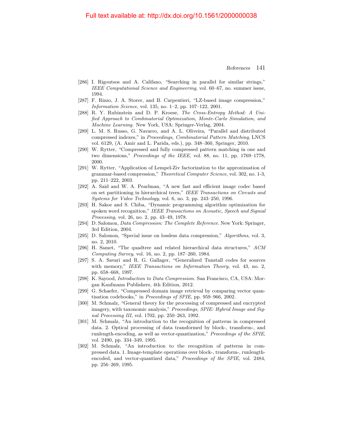- [286] I. Rigoutsos and A. Califano, "Searching in parallel for similar strings," IEEE Computational Science and Engineering, vol. 60–67, no. summer issue, 1994.
- [287] F. Rizzo, J. A. Storer, and B. Carpentieri, "LZ-based image compression," Information Science, vol. 135, no. 1–2, pp. 107–122, 2001.
- [288] R. Y. Rubinstein and D. P. Kroese, The Cross-Entropy Method: A Unified Approach to Combinatorial Optimization, Monte-Carlo Simulation, and Machine Learning. New York, USA: Springer-Verlag, 2004.
- [289] L. M. S. Russo, G. Navarro, and A. L. Oliveira, "Parallel and distributed compressed indexes," in Proceedings, Combinatorial Pattern Matching, LNCS vol. 6129, (A. Amir and L. Parida, eds.), pp. 348–360, Springer, 2010.
- [290] W. Rytter, "Compressed and fully compressed pattern matching in one and two dimensions," Proceedings of the IEEE, vol. 88, no. 11, pp. 1769–1778, 2000.
- [291] W. Rytter, "Application of Lempel-Ziv factorization to the approximation of grammar-based compression," Theoretical Computer Science, vol. 302, no. 1-3, pp. 211–222, 2003.
- [292] A. Said and W. A. Pearlman, "A new fast and efficient image codec based on set partitioning in hierarchical trees," IEEE Transactions on Circuits and Systems for Video Technology, vol. 6, no. 3, pp. 243–250, 1996.
- [293] H. Sakoe and S. Chiba, "Dynamic programming algorithm optimization for spoken word recognition," IEEE Transactions on Acoustic, Speech and Signial Processing, vol. 26, no. 2, pp. 43–49, 1978.
- <span id="page-36-0"></span>[294] D. Salomon, Data Compression: The Complete Reference. New York: Springer, 3rd Edition, 2004.
- [295] D. Salomon, "Special issue on lossless data compression," Algorithms, vol. 3, no. 2, 2010.
- [296] H. Samet, "The quadtree and related hierarchical data structures," ACM Computing Survey, vol. 16, no. 2, pp. 187–260, 1984.
- [297] S. A. Savari and R. G. Gallager, "Generalized Tunstall codes for sources with memory," IEEE Transactions on Information Theory, vol. 43, no. 2, pp. 658–668, 1997.
- <span id="page-36-1"></span>[298] K. Sayood, Introduction to Data Compression. San Francisco, CA, USA: Morgan Kaufmann Publishers, 4th Edition, 2012.
- [299] G. Schaefer, "Compressed domain image retrieval by comparing vector quantisation codebooks," in Proceedings of SPIE, pp. 959–966, 2002.
- [300] M. Schmalz, "General theory for the processing of compressed and encrypted imagery, with taxonomic analysis," Proceedings, SPIE: Hybrid Image and Signal Processing III, vol. 1702, pp. 250–263, 1992.
- [301] M. Schmalz, "An introduction to the recognition of patterns in compressed data. 2. Optical processing of data transformed by block-, transform-, and runlength-encoding, as well as vector-quantization," Proceedings of the SPIE, vol. 2490, pp. 334–349, 1995.
- [302] M. Schmalz, "An introduction to the recognition of patterns in compressed data. 1. Image-template operations over block-, transform-, runlengthencoded, and vector-quantized data," Proceedings of the SPIE, vol. 2484, pp. 256–269, 1995.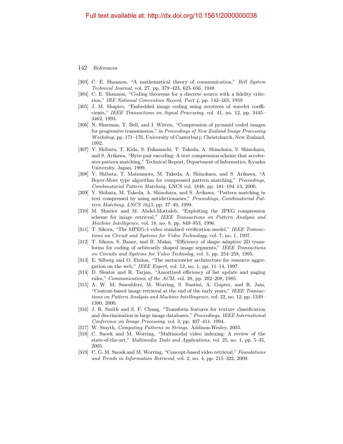- <span id="page-37-1"></span>[303] C. E. Shannon, "A mathematical theory of communication," Bell System Technical Journal, vol. 27, pp. 379–423, 623–656, 1948.
- <span id="page-37-2"></span>[304] C. E. Shannon, "Coding theorems for a discrete source with a fidelity criterion," IRE National Convention Record, Part 4, pp. 142–163, 1959.
- [305] J. M. Shapiro, "Embedded image coding using zerotrees of wavelet coefficients," IEEE Transactions on Signal Processing, vol. 41, no. 12, pp. 3445– 3462, 1993.
- [306] N. Sharman, T. Bell, and I. Witten, "Compression of pyramid coded images for progressive transmission," in Proceedings of New Zealand Image Processing Workshop, pp. 171–176, University of Canterbury, Christchurch, New Zealand, 1992.
- [307] Y. Shibata, T. Kida, S. Fukamachi, T. Takeda, A. Shinohara, S. Shinohara, and S. Arikawa, "Byte-pair encoding: A text compression scheme that accelerates pattern matching," Technical Report, Department of Informatics, Kyushu University, Japan, 1999.
- [308] Y. Shibata, T. Matsumoto, M. Takeda, A. Shinohara, and S. Arikawa, "A Boyer-More type algorithm for compressed pattern matching," Proceedings, Combinatorial Pattern Matching, LNCS vol. 1848, pp. 181–194–13, 2000.
- [309] Y. Shibata, M. Takeda, A. Shinohara, and S. Arikawa, "Pattern matching in text compressed by using antidictionaries," Proceedings, Combinatorial Pattern Matching, LNCS 1645, pp. 37–49, 1999.
- [310] M. Shneier and M. Abdel-Mottaleb, "Exploiting the JPEG compression scheme for image retrieval," IEEE Transactions on Pattern Analysis and Machine Intelligence, vol. 18, no. 8, pp. 849–853, 1996.
- <span id="page-37-0"></span>[311] T. Sikora, "The MPEG-4 video standard verification model," IEEE Transactions on Circuit and Systems for Video Technology, vol. 7, no. 1, 1997.
- [312] T. Sikora, S. Bauer, and B. Makai, "Efficiency of shape–adaptive 2D transforms for coding of arbitrarily shaped image segments," IEEE Transactions on Circuits and Systems for Video Technolog, vol. 5, pp. 254–258, 1995.
- [313] E. Silberg and O. Etzion, "The metacrawler architecture for resource aggregation on the web," IEEE Expert, vol. 12, no. 1, pp.  $11-14$ , 1997.
- [314] D. Sleator and R. Tarjan, "Amortized efficiency of list update and paging rules," Communications of the ACM, vol. 28, pp. 202–208, 1985.
- <span id="page-37-3"></span>[315] A. W. M. Smeulders, M. Worring, S. Santini, A. Gupter, and R. Jain, "Content-based image retrieval at the end of the early years," IEEE Transactions on Pattern Analysis and Machine Intellingence, vol. 22, no. 12, pp. 1349– 1380, 2000.
- [316] J. R. Smith and S. F. Chang, "Transform features for texture classification and discrimination in large image databases," Proceedings, IEEE International Conference on Image Processing, vol. 3, pp. 407–411, 1994.
- [317] W. Smyth, *Computing Patterns in Strings*. Addison-Wesley, 2003.
- <span id="page-37-4"></span>[318] C. Snoek and M. Worring, "Multimodal video indexing: A review of the state-of-the-art," Multimedia Tools and Applications, vol. 25, no. 1, pp. 5–35, 2005.
- [319] C. G. M. Snoek and M. Worring, "Concept-based video retrieval," Foundations and Trends in Information Retrieval, vol. 2, no. 4, pp. 215–322, 2009.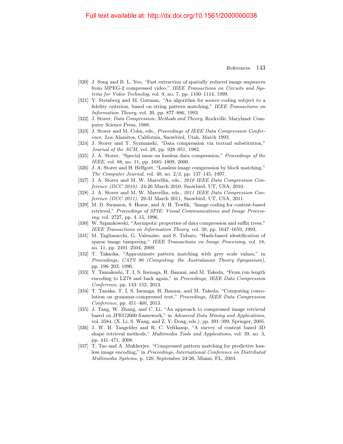- [320] J. Song and B. L. Yeo, "Fast extraction of spatially reduced image sequences from MPEG-2 compressed video," IEEE Transactions on Circuits and Systems for Video Technolog, vol. 9, no. 7, pp. 1100–1114, 1999.
- [321] Y. Steinberg and M. Gutman, "An algorithm for source coding subject to a fidelity criterion, based on string pattern matching," IEEE Transactions on Information Theory, vol. 39, pp. 877–886, 1993.
- [322] J. Storer, Data Compression: Methods and Theory. Rockville, Maryland: Computer Science Press, 1988.
- [323] J. Storer and M. Cohn, eds., Proceedings of IEEE Data Compression Conference. Los Alamitos, California, Snowbird, Utah, March 1993.
- [324] J. Storer and T. Syzmanski, "Data compression via textual substitution," Journal of the ACM, vol. 29, pp. 928–951, 1982.
- [325] J. A. Storer, "Special issue on lossless data compression," Proceedings of the IEEE, vol. 88, no. 11, pp. 1685–1809, 2000.
- [326] J. A. Storer and H. Helfgott, "Lossless image compression by block matching," The Computer Journal, vol. 40, no. 2/3, pp. 137–145, 1997.
- [327] J. A. Storer and M. W. Marcellin, eds., 2010 IEEE Data Compression Conference (DCC 2010). 24-26 March 2010, Snowbird, UT, USA, 2010.
- [328] J. A. Storer and M. W. Marcellin, eds., 2011 IEEE Data Compression Conference (DCC 2011). 29-31 March 2011, Snowbird, UT, USA, 2011.
- [329] M. D. Swanson, S. Hosur, and A. H. Tewfik, "Image coding for content-based retrieval," Proceedings of SPIE: Visual Communications and Image Processing, vol. 2727, pp. 4–15, 1996.
- [330] W. Szpankowski, "Asympotic properties of data compression and suffix trees," IEEE Transactions on Information Theory, vol. 39, pp. 1647–1659, 1993.
- [331] M. Tagliasacchi, G. Valenzise, and S. Tubaro, "Hash-based identification of sparse image tampering," IEEE Transactions on Image Processing, vol. 18, no. 11, pp. 2491–2504, 2009.
- [332] T. Takaoka, "Approximate pattern matching with grey scale values," in Proceedings, CATS 96 (Computing: the Australasian Theory Symposium), pp. 196–203, 1996.
- [333] Y. Tamakoshi, T. I, S. Inenaga, H. Bannai, and M. Takeda, "From run length encoding to LZ78 and back again," in Proceedings, IEEE Data Compression Conference, pp. 143–152, 2013.
- [334] T. Tanaka, T. I, S. Inenaga, H. Bannai, and M. Takeda, "Computing convolution on grammar-compressed text," Proceedings, IEEE Data Compression Conference, pp. 451–460, 2013.
- [335] J. Tang, W. Zhang, and C. Li, "An approach to compressed image retrieval based on JPEG2000 framework," in Advanced Data Mining and Applications, vol. 3584, (X. Li, S. Wang, and Z. Y. Dong, eds.), pp. 391–399, Springer, 2005.
- [336] J. W. H. Tangelder and R. C. Veltkamp, "A survey of content based 3D shape retrieval methods," Multimedia Tools and Applications, vol. 39, no. 3, pp. 441–471, 2008.
- [337] T. Tao and A. Mukherjee, "Compressed pattern matching for predictive lossless image encoding," in Proceedings, International Conference on Distributed Multimedia Systems, p. 120, September 24-26, Miami, FL, 2003.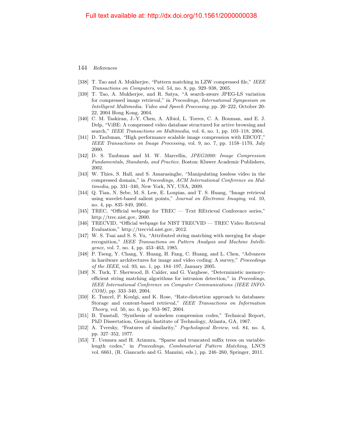- [338] T. Tao and A. Mukherjee, "Pattern matching in LZW compressed file," IEEE Transactions on Computers, vol. 54, no. 8, pp. 929–938, 2005.
- [339] T. Tao, A. Mukherjee, and R. Satya, "A search-aware JPEG-LS variation for compressed image retrieval," in Proceedings, International Symposium on Intelligent Multimedia. Video and Speech Processing, pp. 20–222, October 20- 22, 2004 Hong Kong, 2004.
- [340] C. M. Taskiran, J.-Y. Chen, A. Albiol, L. Torres, C. A. Bouman, and E. J. Delp, "ViBE: A compressed video database structured for active browsing and search," IEEE Transactions on Multimedia, vol. 6, no. 1, pp. 103–118, 2004.
- [341] D. Taubman, "High performance scalable image compression with EBCOT," IEEE Transactions on Image Processing, vol. 9, no. 7, pp. 1158–1170, July 2000.
- [342] D. S. Taubman and M. W. Marcellin, *JPEG2000: Image Compression* Fundamentals, Standards, and Practice. Boston: Kluwer Academic Publishers, 2002.
- <span id="page-39-0"></span>[343] W. Thies, S. Hall, and S. Amarasinghe, "Manipulating lossless video in the compressed domain," in Proceedings, ACM International Conference on Multimedia, pp. 331–340, New York, NY, USA, 2009.
- [344] Q. Tian, N. Sebe, M. S. Lew, E. Loupias, and T. S. Huang, "Image retrieval using wavelet-based salient points," Journal on Electronic Imaging, vol. 10, no. 4, pp. 835–849, 2001.
- [345] TREC, "Official webpage for TREC Text REtrieval Conference series," http://trec.nist.gov, 2000.
- [346] TRECVID, "Official webpage for NIST TRECVID TREC Video Retrieval Evaluation," http://trecvid.nist.gov, 2012.
- [347] W. S. Tsai and S. S. Yu, "Attributed string matching with merging for shape recognition," IEEE Transactions on Pattern Analysis and Machine Intelligence, vol. 7, no. 4, pp. 453–463, 1985.
- [348] P. Tseng, Y. Chang, Y. Huang, H. Fang, C. Huang, and L. Chen, "Advances" in hardware architectures for image and video coding: A survey," Proceedings of the IEEE, vol. 93, no. 1, pp. 184–197, January 2005.
- [349] N. Tuck, T. Sherwood, B. Calder, and G. Varghese, "Deterministic memoryefficient string matching algorithms for intrusion detection," in Proceedings, IEEE International Conference on Computer Communications (IEEE INFO- $COM$ ), pp. 333–340, 2004.
- [350] E. Tuncel, P. Koulgi, and K. Rose, "Rate-distortion approach to databases: Storage and content-based retrieval," IEEE Transactions on Information Theory, vol. 50, no. 6, pp. 953–967, 2004.
- [351] B. Tunstall, "Synthesis of noiseless compression codes," Technical Report, PhD Dissertation, Georgia Institute of Technology, Atlanta, GA, 1967.
- [352] A. Tversky, "Features of similarity," Psychological Review, vol. 84, no. 4, pp. 327–352, 1977.
- [353] T. Uemura and H. Arimura, "Sparse and truncated suffix trees on variablelength codes," in Proceedings, Combinatorial Pattern Matching, LNCS vol. 6661, (R. Giancarlo and G. Manzini, eds.), pp. 246–260, Springer, 2011.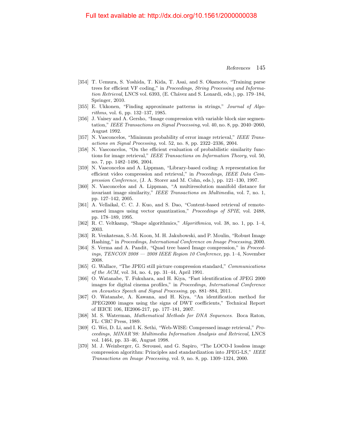- [354] T. Uemura, S. Yoshida, T. Kida, T. Asai, and S. Okamoto, "Training parse trees for efficient VF coding," in Proceedings, String Processing and Information Retrieval, LNCS vol. 6393,  $(E. Chávez and S. Lonardi, eds.), pp. 179–184,$ Springer, 2010.
- [355] E. Ukkonen, "Finding approximate patterns in strings," Journal of Algorithms, vol. 6, pp. 132–137, 1985.
- [356] J. Vaisey and A. Gersho, "Image compression with variable block size segmentation," IEEE Transactions on Signal Processing, vol. 40, no. 8, pp. 2040–2060, August 1992.
- [357] N. Vasconcelos, "Minimum probability of error image retrieval," IEEE Transactions on Signal Processing, vol. 52, no. 8, pp. 2322–2336, 2004.
- [358] N. Vasconcelos, "On the efficient evaluation of probabilistic similarity functions for image retrieval," IEEE Transactions on Information Theory, vol. 50, no. 7, pp. 1482–1496, 2004.
- [359] N. Vasconcelos and A. Lippman, "Library-based coding: A representation for efficient video compression and retrieval," in Proceedings, IEEE Data Compression Conference, (J. A. Storer and M. Cohn, eds.), pp. 121–130, 1997.
- [360] N. Vasconcelos and A. Lippman, "A multiresolution manifold distance for invariant image similarity," IEEE Transactions on Multimedia, vol. 7, no. 1, pp. 127–142, 2005.
- [361] A. Vellaikal, C. C. J. Kuo, and S. Dao, "Content-based retrieval of remotesensed images using vector quantization," Proceedings of SPIE, vol. 2488, pp. 178–189, 1995.
- [362] R. C. Veltkamp, "Shape algorithmics," Algorithmica, vol. 38, no. 1, pp. 1–4, 2003.
- [363] R. Venkatesan, S.-M. Koon, M. H. Jakubowski, and P. Moulin, "Robust Image Hashing," in Proceedings, International Conference on Image Processing, 2000.
- [364] S. Verma and A. Pandit, "Quad tree based Image compression," in Proceedings, TENCON 2008 — 2008 IEEE Region 10 Conference, pp. 1–4, November 2008.
- [365] G. Wallace, "The JPEG still picture compression standard," Communications of the ACM, vol. 34, no. 4, pp. 31–44, April 1991.
- [366] O. Watanabe, T. Fukuhara, and H. Kiya, "Fast identification of JPEG 2000 images for digital cinema profiles," in Proceedings, International Conference on Acoustics Speech and Signal Processing, pp. 881–884, 2011.
- [367] O. Watanabe, A. Kawana, and H. Kiya, "An identification method for JPEG2000 images using the signs of DWT coefficients," Technical Report of IEICE 106, IE2006-217, pp. 177–181, 2007.
- [368] M. S. Waterman, *Mathematical Methods for DNA Sequences*. Boca Raton, FL: CRC Press, 1989.
- [369] G. Wei, D. Li, and I. K. Sethi, "Web-WISE: Compressed image retrieval," Proceedings, MINAR'98: Multimedia Information Analysis and Retrieval, LNCS vol. 1464, pp. 33–46, August 1998.
- [370] M. J. Weinberger, G. Seroussi, and G. Sapiro, "The LOCO-I lossless image compression algorithm: Principles and standardization into JPEG-LS," IEEE Transactions on Image Processing, vol. 9, no. 8, pp. 1309–1324, 2000.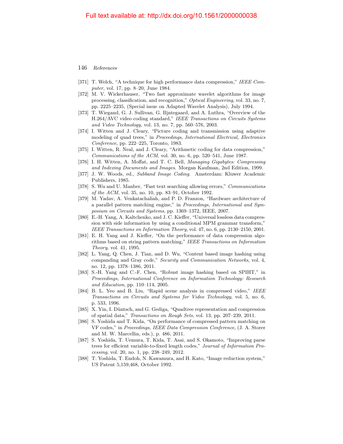- [371] T. Welch, "A technique for high performance data compression," IEEE Computer, vol. 17, pp. 8–20, June 1984.
- [372] M. V. Wickerhauser, "Two fast approximate wavelet algorithms for image processing, classification, and recognition," Optical Engineering, vol. 33, no. 7, pp. 2225–2235, (Special issue on Adapted Wavelet Analysis), July 1994.
- <span id="page-41-0"></span>[373] T. Wiegand, G. J. Sullivan, G. Bjntegaard, and A. Luthra, "Overview of the H.264/AVC video coding standard," IEEE Transactions on Circuits Systems and Video Technology, vol. 13, no. 7, pp. 560–576, 2003.
- [374] I. Witten and J. Cleary, "Picture coding and transmission using adaptive modeling of quad trees," in *Proceedings, International Electrical, Electronics* Conference, pp. 222–225, Toronto, 1983.
- [375] I. Witten, R. Neal, and J. Cleary, "Arithmetic coding for data compression," Communications of the ACM, vol. 30, no. 6, pp. 520–541, June 1987.
- [376] I. H. Witten, A. Moffat, and T. C. Bell, Managing Gigabytes: Compressing and Indexing Documents and Images. Morgan Kaufman, 2nd Edition, 1999.
- [377] J. W. Woods, ed., Subband Image Coding. Amsterdam: Kluwer Academic Publishers, 1985.
- [378] S. Wu and U. Manber, "Fast text searching allowing errors," Communications of the ACM, vol. 35, no. 10, pp. 83–91, October 1992.
- [379] M. Yadav, A. Venkatachaliah, and P. D. Franzon, "Hardware architecture of a parallel pattern matching engine," in Proceedings, International and Symposium on Circuits and Systems, pp. 1369–1372, IEEE, 2007.
- [380] E.-H. Yang, A. Kaltchenko, and J. C. Kieffer, "Universal lossless data compression with side information by using a conditional MPM grammar transform," IEEE Transactions on Information Theory, vol. 47, no. 6, pp. 2130–2150, 2001.
- [381] E. H. Yang and J. Kieffer, "On the performance of data compression algorithms based on string pattern matching," IEEE Transactions on Information Theory, vol. 41, 1995.
- [382] L. Yang, Q. Chen, J. Tian, and D. Wu, "Content based image hashing using companding and Gray code," Security and Communication Networks, vol. 4, no. 12, pp. 1378–1386, 2011.
- [383] S.-H. Yang and C.-F. Chen, "Robust image hashing based on SPIHT," in Proceedings, International Conference on Information Technology: Research and Education, pp. 110–114, 2005.
- <span id="page-41-1"></span>[384] B. L. Yeo and B. Liu, "Rapid scene analysis in compressed video," IEEE Transactions on Circuits and Systems for Video Technology, vol. 5, no. 6, p. 533, 1996.
- [385] X. Yin, I. Düntsch, and G. Gediga, "Quadtree representation and compression of spatial data," Transactions on Rough Sets, vol. 13, pp. 207–239, 2011.
- [386] S. Yoshida and T. Kida, "On performance of compressed pattern matching on VF codes," in Proceedings, IEEE Data Compression Conference, (J. A. Storer and M. W. Marcellin, eds.), p. 486, 2011.
- [387] S. Yoshida, T. Uemura, T. Kida, T. Asai, and S. Okamoto, "Improving parse trees for efficient variable-to-fixed length codes," Journal of Information Processing, vol. 20, no. 1, pp. 238–249, 2012.
- [388] T. Yoshida, T. Endoh, N. Kawamura, and H. Kato, "Image reduction system," US Patent 5,159,468, October 1992.